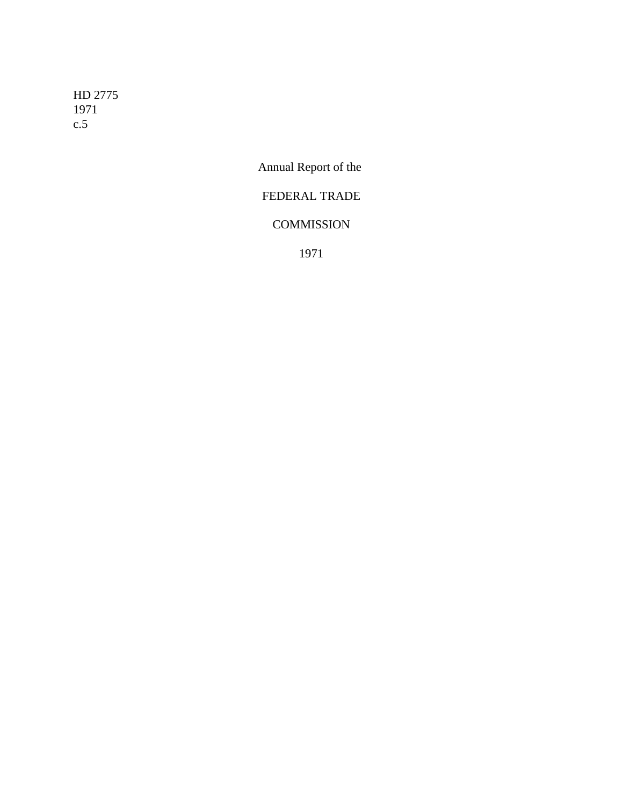HD 2775 1971 c.5

Annual Report of the

# FEDERAL TRADE

# **COMMISSION**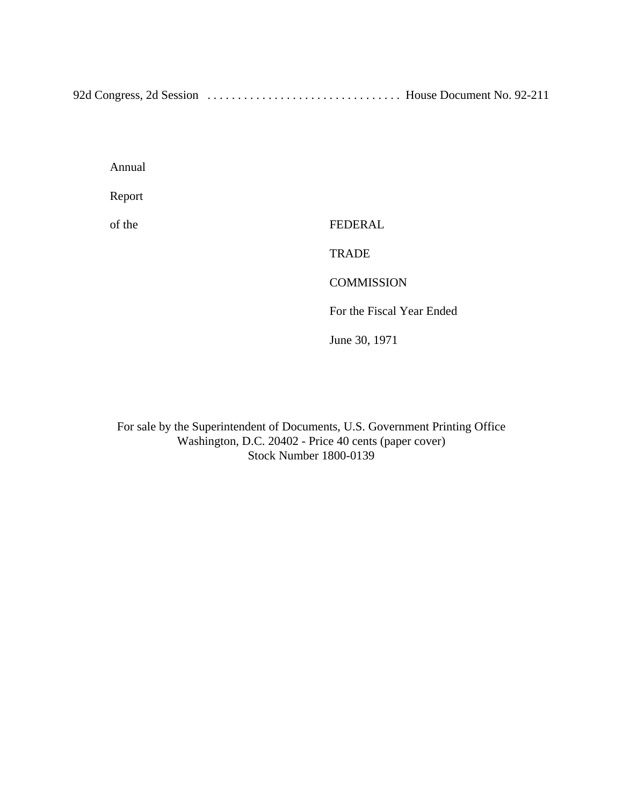92d Congress, 2d Session ................................ House Document No. 92-211

Annual

Report

of the FEDERAL

**TRADE** 

**COMMISSION** 

For the Fiscal Year Ended

June 30, 1971

For sale by the Superintendent of Documents, U.S. Government Printing Office Washington, D.C. 20402 - Price 40 cents (paper cover) Stock Number 1800-0139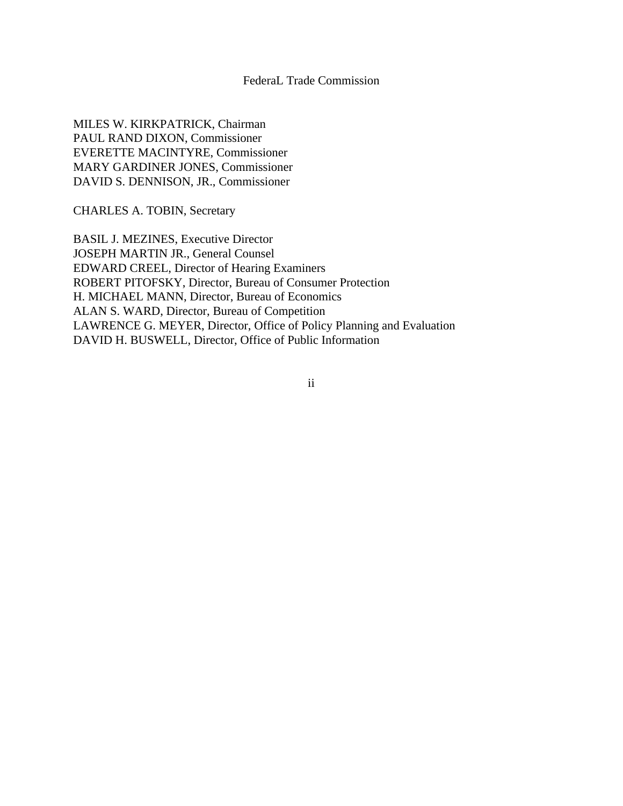# FederaL Trade Commission

MILES W. KIRKPATRICK, Chairman PAUL RAND DIXON, Commissioner EVERETTE MACINTYRE, Commissioner MARY GARDINER JONES, Commissioner DAVID S. DENNISON, JR., Commissioner

CHARLES A. TOBIN, Secretary

BASIL J. MEZINES, Executive Director JOSEPH MARTIN JR., General Counsel EDWARD CREEL, Director of Hearing Examiners ROBERT PITOFSKY, Director, Bureau of Consumer Protection H. MICHAEL MANN, Director, Bureau of Economics ALAN S. WARD, Director, Bureau of Competition LAWRENCE G. MEYER, Director, Office of Policy Planning and Evaluation DAVID H. BUSWELL, Director, Office of Public Information

ii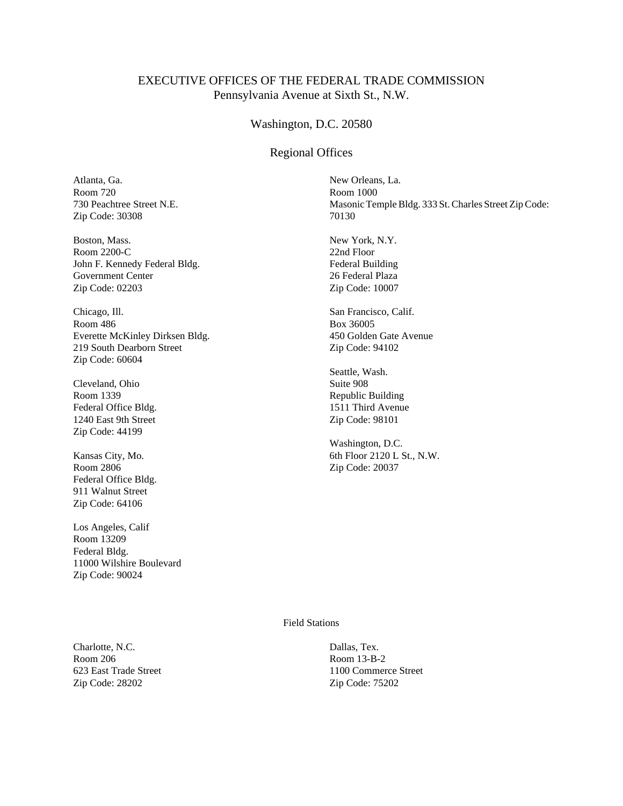# EXECUTIVE OFFICES OF THE FEDERAL TRADE COMMISSION Pennsylvania Avenue at Sixth St., N.W.

#### Washington, D.C. 20580

#### Regional Offices

Atlanta, Ga. Room 720 730 Peachtree Street N.E. Zip Code: 30308

Boston, Mass. Room 2200-C John F. Kennedy Federal Bldg. Government Center Zip Code: 02203

Chicago, Ill. Room 486 Everette McKinley Dirksen Bldg. 219 South Dearborn Street Zip Code: 60604

Cleveland, Ohio Room 1339 Federal Office Bldg. 1240 East 9th Street Zip Code: 44199

Kansas City, Mo. Room 2806 Federal Office Bldg. 911 Walnut Street Zip Code: 64106

Los Angeles, Calif Room 13209 Federal Bldg. 11000 Wilshire Boulevard Zip Code: 90024

Charlotte, N.C. Room 206 623 East Trade Street Zip Code: 28202

New Orleans, La. Room 1000 Masonic Temple Bldg. 333 St. Charles Street Zip Code: 70130

New York, N.Y. 22nd Floor Federal Building 26 Federal Plaza Zip Code: 10007

San Francisco, Calif. Box 36005 450 Golden Gate Avenue Zip Code: 94102

Seattle, Wash. Suite 908 Republic Building 1511 Third Avenue Zip Code: 98101

Washington, D.C. 6th Floor 2120 L St., N.W. Zip Code: 20037

Field Stations

Dallas, Tex. Room 13-B-2 1100 Commerce Street Zip Code: 75202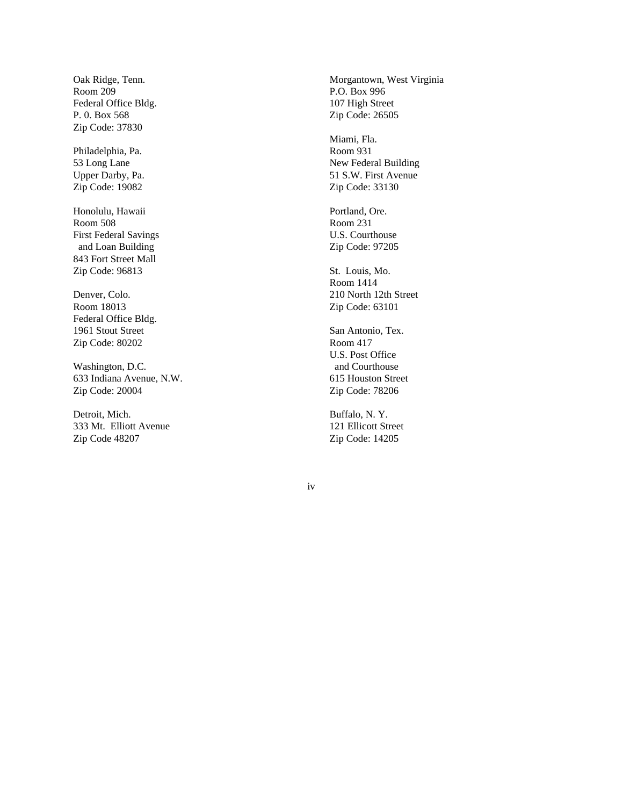Oak Ridge, Tenn. Room 209 Federal Office Bldg. P. 0. Box 568 Zip Code: 37830

Philadelphia, Pa. 53 Long Lane Upper Darby, Pa. Zip Code: 19082

Honolulu, Hawaii Room 508 First Federal Savings and Loan Building 843 Fort Street Mall Zip Code: 96813

Denver, Colo. Room 18013 Federal Office Bldg. 1961 Stout Street Zip Code: 80202

Washington, D.C. 633 Indiana Avenue, N.W. Zip Code: 20004

Detroit, Mich. 333 Mt. Elliott Avenue Zip Code 48207

Morgantown, West Virginia P.O. Box 996 107 High Street Zip Code: 26505

Miami, Fla. Room 931 New Federal Building 51 S.W. First Avenue Zip Code: 33130

Portland, Ore. Room 231 U.S. Courthouse Zip Code: 97205

St. Louis, Mo. Room 1414 210 North 12th Street Zip Code: 63101

San Antonio, Tex. Room 417 U.S. Post Office and Courthouse 615 Houston Street Zip Code: 78206

Buffalo, N. Y. 121 Ellicott Street Zip Code: 14205

iv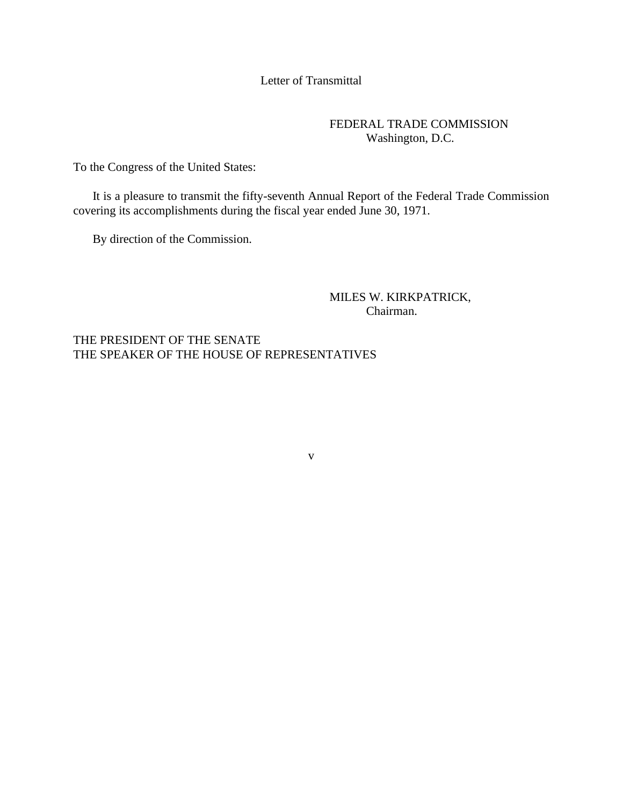# Letter of Transmittal

# FEDERAL TRADE COMMISSION Washington, D.C.

To the Congress of the United States:

It is a pleasure to transmit the fifty-seventh Annual Report of the Federal Trade Commission covering its accomplishments during the fiscal year ended June 30, 1971.

v

By direction of the Commission.

MILES W. KIRKPATRICK, Chairman.

THE PRESIDENT OF THE SENATE THE SPEAKER OF THE HOUSE OF REPRESENTATIVES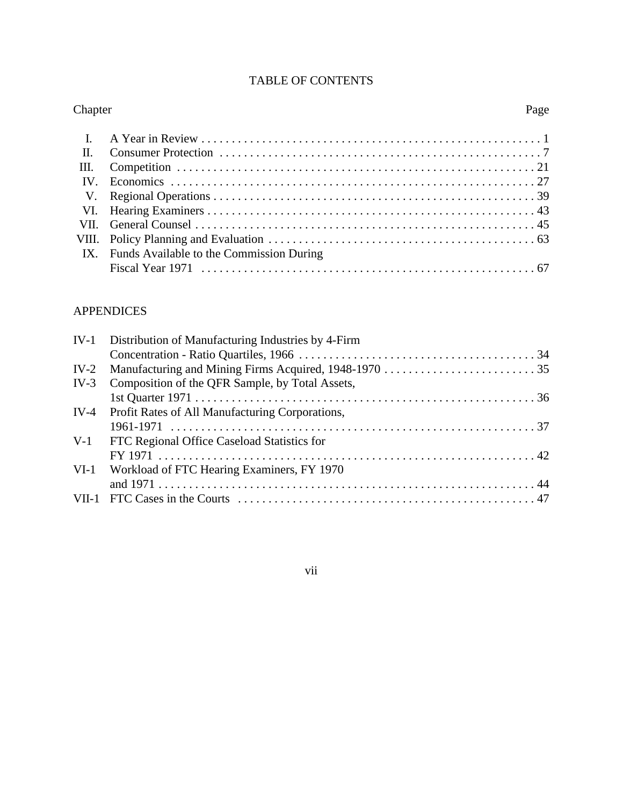| <b>TABLE OF CONTENTS</b> |  |  |  |
|--------------------------|--|--|--|
|--------------------------|--|--|--|

| Page |
|------|
|      |
|      |
|      |
|      |
|      |
|      |
|      |
|      |
|      |
|      |
|      |

# APPENDICES

|        | IV-1 Distribution of Manufacturing Industries by 4-Firm |  |
|--------|---------------------------------------------------------|--|
|        |                                                         |  |
|        |                                                         |  |
|        | IV-3 Composition of the QFR Sample, by Total Assets,    |  |
|        |                                                         |  |
|        | IV-4 Profit Rates of All Manufacturing Corporations,    |  |
|        |                                                         |  |
|        | V-1 FTC Regional Office Caseload Statistics for         |  |
|        | $FY 1971$                                               |  |
| $VI-1$ | Workload of FTC Hearing Examiners, FY 1970              |  |
|        |                                                         |  |
|        |                                                         |  |

vii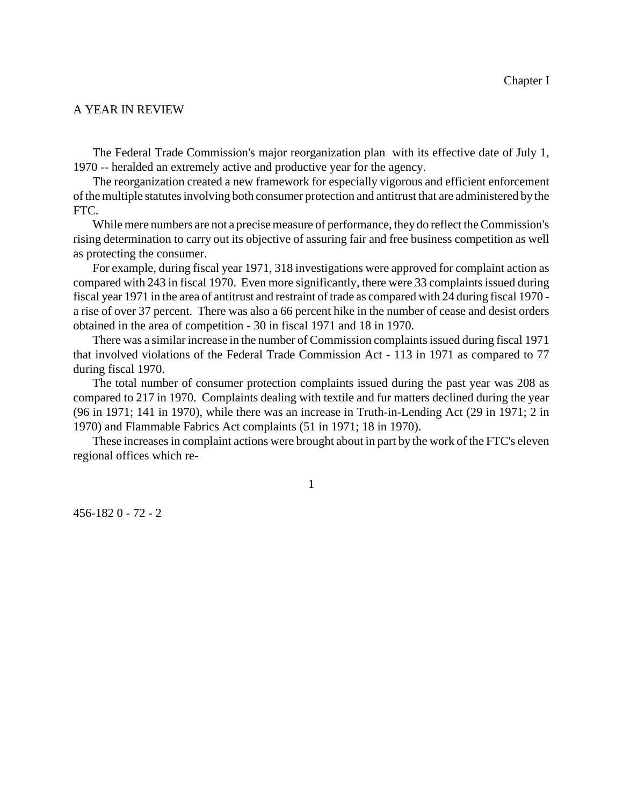#### A YEAR IN REVIEW

The Federal Trade Commission's major reorganization plan with its effective date of July 1, 1970 -- heralded an extremely active and productive year for the agency.

The reorganization created a new framework for especially vigorous and efficient enforcement of the multiple statutes involving both consumer protection and antitrust that are administered by the FTC.

While mere numbers are not a precise measure of performance, they do reflect the Commission's rising determination to carry out its objective of assuring fair and free business competition as well as protecting the consumer.

For example, during fiscal year 1971, 318 investigations were approved for complaint action as compared with 243 in fiscal 1970. Even more significantly, there were 33 complaints issued during fiscal year 1971 in the area of antitrust and restraint of trade as compared with 24 during fiscal 1970 a rise of over 37 percent. There was also a 66 percent hike in the number of cease and desist orders obtained in the area of competition - 30 in fiscal 1971 and 18 in 1970.

There was a similar increase in the number of Commission complaintsissued during fiscal 1971 that involved violations of the Federal Trade Commission Act - 113 in 1971 as compared to 77 during fiscal 1970.

The total number of consumer protection complaints issued during the past year was 208 as compared to 217 in 1970. Complaints dealing with textile and fur matters declined during the year (96 in 1971; 141 in 1970), while there was an increase in Truth-in-Lending Act (29 in 1971; 2 in 1970) and Flammable Fabrics Act complaints (51 in 1971; 18 in 1970).

These increases in complaint actions were brought about in part by the work of the FTC's eleven regional offices which re-

1

456-182 0 - 72 - 2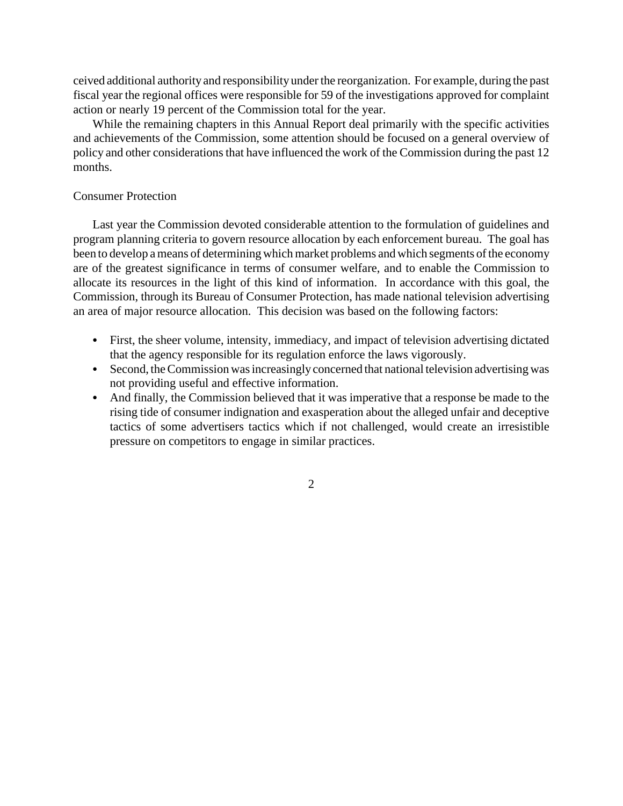ceived additional authority and responsibility underthe reorganization. For example, during the past fiscal year the regional offices were responsible for 59 of the investigations approved for complaint action or nearly 19 percent of the Commission total for the year.

While the remaining chapters in this Annual Report deal primarily with the specific activities and achievements of the Commission, some attention should be focused on a general overview of policy and other considerations that have influenced the work of the Commission during the past 12 months.

# Consumer Protection

Last year the Commission devoted considerable attention to the formulation of guidelines and program planning criteria to govern resource allocation by each enforcement bureau. The goal has been to develop a means of determining which market problems and which segments of the economy are of the greatest significance in terms of consumer welfare, and to enable the Commission to allocate its resources in the light of this kind of information. In accordance with this goal, the Commission, through its Bureau of Consumer Protection, has made national television advertising an area of major resource allocation. This decision was based on the following factors:

- First, the sheer volume, intensity, immediacy, and impact of television advertising dictated that the agency responsible for its regulation enforce the laws vigorously.
- Second, the Commission was increasingly concerned that national television advertising was not providing useful and effective information.
- And finally, the Commission believed that it was imperative that a response be made to the rising tide of consumer indignation and exasperation about the alleged unfair and deceptive tactics of some advertisers tactics which if not challenged, would create an irresistible pressure on competitors to engage in similar practices.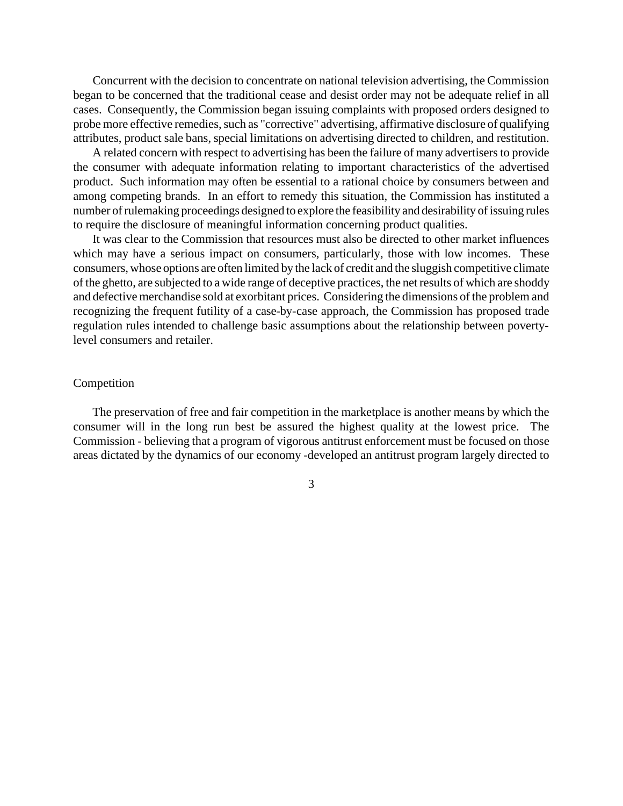Concurrent with the decision to concentrate on national television advertising, the Commission began to be concerned that the traditional cease and desist order may not be adequate relief in all cases. Consequently, the Commission began issuing complaints with proposed orders designed to probe more effective remedies, such as "corrective" advertising, affirmative disclosure of qualifying attributes, product sale bans, special limitations on advertising directed to children, and restitution.

A related concern with respect to advertising has been the failure of many advertisers to provide the consumer with adequate information relating to important characteristics of the advertised product. Such information may often be essential to a rational choice by consumers between and among competing brands. In an effort to remedy this situation, the Commission has instituted a number of rulemaking proceedings designed to explore the feasibility and desirability of issuing rules to require the disclosure of meaningful information concerning product qualities.

It was clear to the Commission that resources must also be directed to other market influences which may have a serious impact on consumers, particularly, those with low incomes. These consumers, whose options are often limited by the lack of credit and the sluggish competitive climate of the ghetto, are subjected to a wide range of deceptive practices, the netresults of which are shoddy and defective merchandise sold at exorbitant prices. Considering the dimensions of the problem and recognizing the frequent futility of a case-by-case approach, the Commission has proposed trade regulation rules intended to challenge basic assumptions about the relationship between povertylevel consumers and retailer.

#### Competition

The preservation of free and fair competition in the marketplace is another means by which the consumer will in the long run best be assured the highest quality at the lowest price. The Commission - believing that a program of vigorous antitrust enforcement must be focused on those areas dictated by the dynamics of our economy -developed an antitrust program largely directed to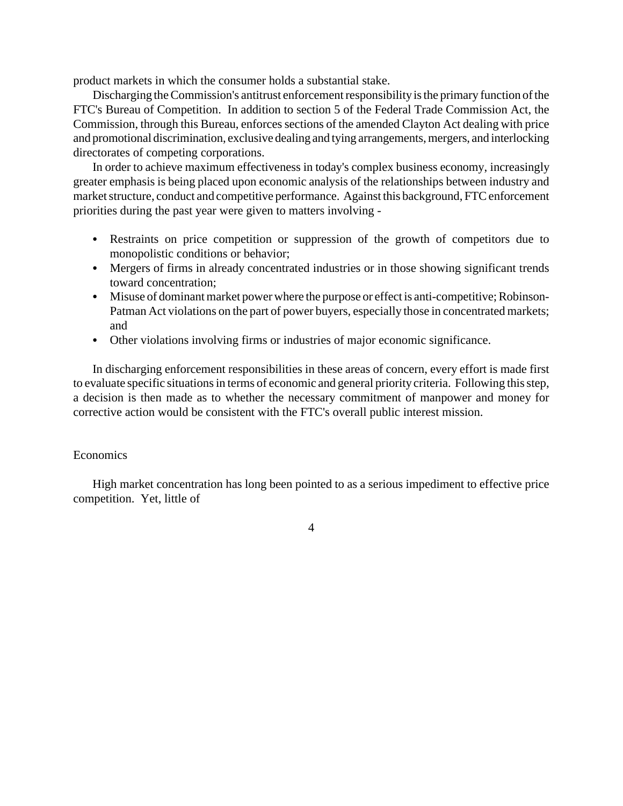product markets in which the consumer holds a substantial stake.

Discharging the Commission's antitrust enforcement responsibility is the primary function of the FTC's Bureau of Competition. In addition to section 5 of the Federal Trade Commission Act, the Commission, through this Bureau, enforces sections of the amended Clayton Act dealing with price and promotional discrimination, exclusive dealing and tying arrangements, mergers, and interlocking directorates of competing corporations.

In order to achieve maximum effectiveness in today's complex business economy, increasingly greater emphasis is being placed upon economic analysis of the relationships between industry and market structure, conduct and competitive performance. Against this background, FTC enforcement priorities during the past year were given to matters involving -

- Restraints on price competition or suppression of the growth of competitors due to monopolistic conditions or behavior;
- Mergers of firms in already concentrated industries or in those showing significant trends toward concentration;
- Misuse of dominant market power where the purpose or effect is anti-competitive; Robinson-Patman Act violations on the part of power buyers, especially those in concentrated markets; and
- Other violations involving firms or industries of major economic significance.

In discharging enforcement responsibilities in these areas of concern, every effort is made first to evaluate specific situations in terms of economic and general priority criteria. Following this step, a decision is then made as to whether the necessary commitment of manpower and money for corrective action would be consistent with the FTC's overall public interest mission.

# **Economics**

High market concentration has long been pointed to as a serious impediment to effective price competition. Yet, little of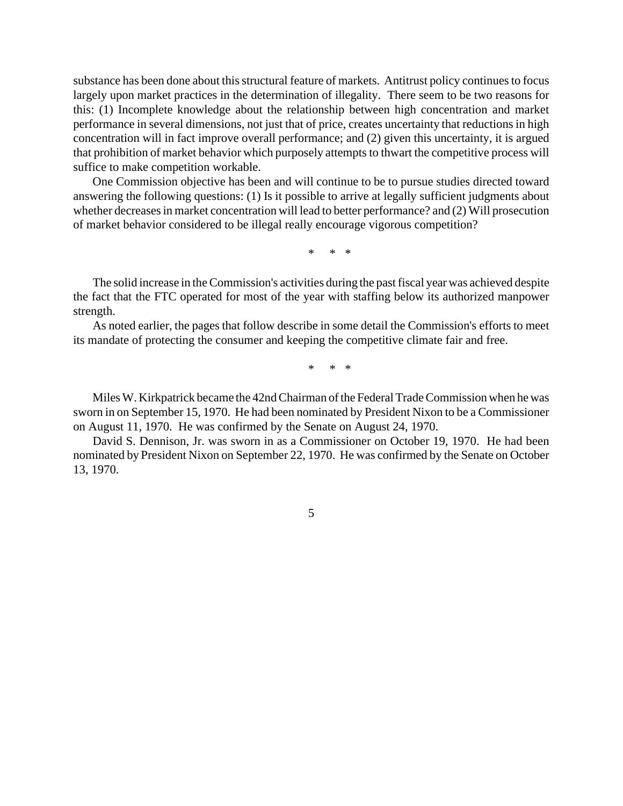substance has been done about this structural feature of markets. Antitrust policy continues to focus largely upon market practices in the determination of illegality. There seem to be two reasons for this: (1) Incomplete knowledge about the relationship between high concentration and market performance in several dimensions, not just that of price, creates uncertainty that reductions in high concentration will in fact improve overall performance; and (2) given this uncertainty, it is argued that prohibition of market behavior which purposely attempts to thwart the competitive process will suffice to make competition workable.

One Commission objective has been and will continue to be to pursue studies directed toward answering the following questions: (1) Is it possible to arrive at legally sufficient judgments about whether decreases in market concentration will lead to better performance? and (2) Will prosecution of market behavior considered to be illegal really encourage vigorous competition?

\* \* \*

The solid increase in the Commission's activities during the past fiscal year was achieved despite the fact that the FTC operated for most of the year with staffing below its authorized manpower strength.

As noted earlier, the pages that follow describe in some detail the Commission's efforts to meet its mandate of protecting the consumer and keeping the competitive climate fair and free.

\* \* \*

Miles W. Kirkpatrick became the 42nd Chairman of the Federal Trade Commission when he was sworn in on September 15, 1970. He had been nominated by President Nixon to be a Commissioner on August 11, 1970. He was confirmed by the Senate on August 24, 1970.

David S. Dennison, Jr. was sworn in as a Commissioner on October 19, 1970. He had been nominated by President Nixon on September 22, 1970. He was confirmed by the Senate on October 13, 1970.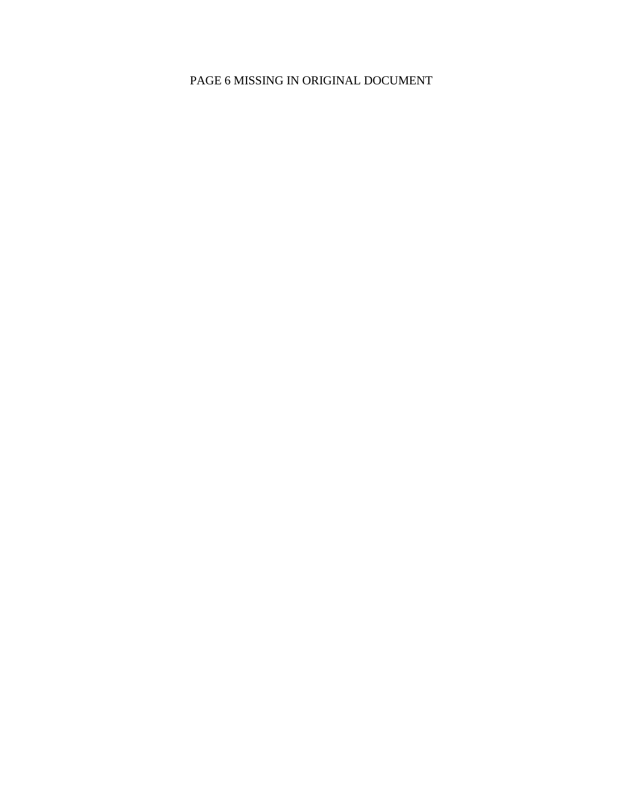# PAGE 6 MISSING IN ORIGINAL DOCUMENT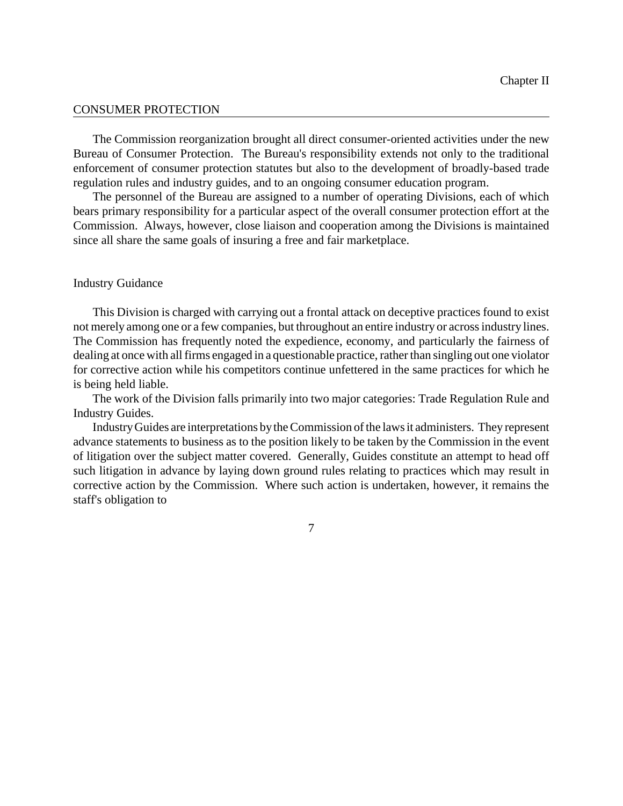#### CONSUMER PROTECTION

The Commission reorganization brought all direct consumer-oriented activities under the new Bureau of Consumer Protection. The Bureau's responsibility extends not only to the traditional enforcement of consumer protection statutes but also to the development of broadly-based trade regulation rules and industry guides, and to an ongoing consumer education program.

The personnel of the Bureau are assigned to a number of operating Divisions, each of which bears primary responsibility for a particular aspect of the overall consumer protection effort at the Commission. Always, however, close liaison and cooperation among the Divisions is maintained since all share the same goals of insuring a free and fair marketplace.

## Industry Guidance

This Division is charged with carrying out a frontal attack on deceptive practices found to exist not merely among one or a few companies, but throughout an entire industry or acrossindustry lines. The Commission has frequently noted the expedience, economy, and particularly the fairness of dealing at once with all firms engaged in a questionable practice, rather than singling out one violator for corrective action while his competitors continue unfettered in the same practices for which he is being held liable.

The work of the Division falls primarily into two major categories: Trade Regulation Rule and Industry Guides.

IndustryGuides are interpretations bytheCommission ofthe laws it administers. They represent advance statements to business as to the position likely to be taken by the Commission in the event of litigation over the subject matter covered. Generally, Guides constitute an attempt to head off such litigation in advance by laying down ground rules relating to practices which may result in corrective action by the Commission. Where such action is undertaken, however, it remains the staff's obligation to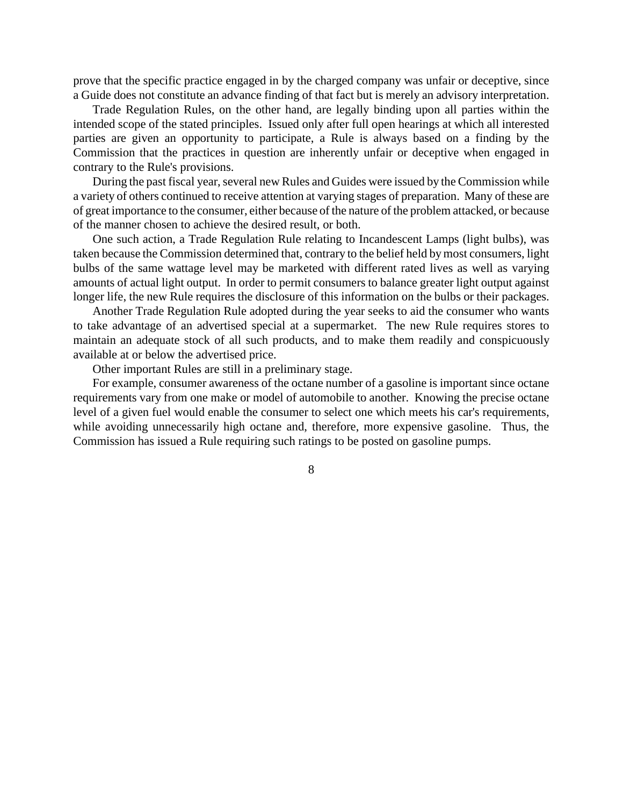prove that the specific practice engaged in by the charged company was unfair or deceptive, since a Guide does not constitute an advance finding of that fact but is merely an advisory interpretation.

Trade Regulation Rules, on the other hand, are legally binding upon all parties within the intended scope of the stated principles. Issued only after full open hearings at which all interested parties are given an opportunity to participate, a Rule is always based on a finding by the Commission that the practices in question are inherently unfair or deceptive when engaged in contrary to the Rule's provisions.

During the past fiscal year, several new Rules and Guides were issued by the Commission while a variety of others continued to receive attention at varying stages of preparation. Many of these are of great importance to the consumer, either because of the nature of the problem attacked, or because of the manner chosen to achieve the desired result, or both.

One such action, a Trade Regulation Rule relating to Incandescent Lamps (light bulbs), was taken because the Commission determined that, contrary to the belief held bymost consumers, light bulbs of the same wattage level may be marketed with different rated lives as well as varying amounts of actual light output. In order to permit consumers to balance greater light output against longer life, the new Rule requires the disclosure of this information on the bulbs or their packages.

Another Trade Regulation Rule adopted during the year seeks to aid the consumer who wants to take advantage of an advertised special at a supermarket. The new Rule requires stores to maintain an adequate stock of all such products, and to make them readily and conspicuously available at or below the advertised price.

Other important Rules are still in a preliminary stage.

For example, consumer awareness of the octane number of a gasoline is important since octane requirements vary from one make or model of automobile to another. Knowing the precise octane level of a given fuel would enable the consumer to select one which meets his car's requirements, while avoiding unnecessarily high octane and, therefore, more expensive gasoline. Thus, the Commission has issued a Rule requiring such ratings to be posted on gasoline pumps.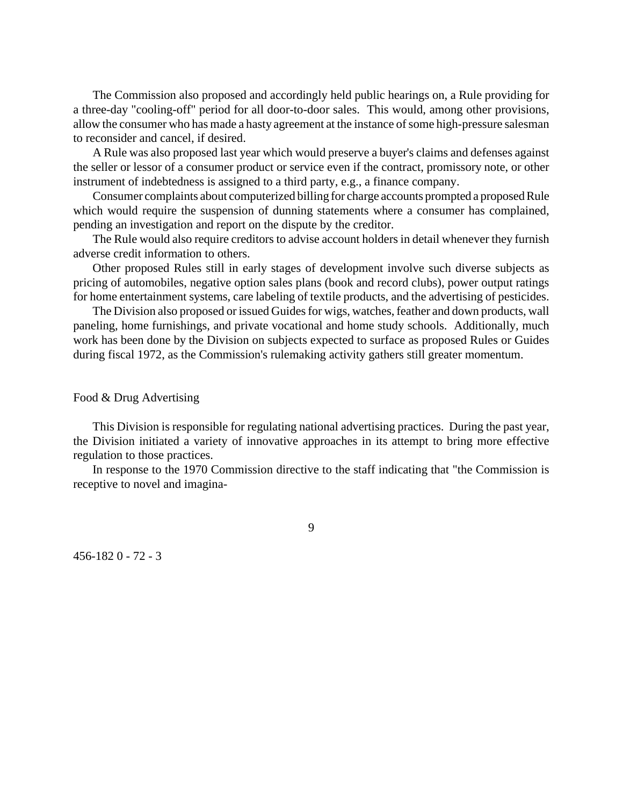The Commission also proposed and accordingly held public hearings on, a Rule providing for a three-day "cooling-off" period for all door-to-door sales. This would, among other provisions, allow the consumer who has made a hasty agreement at the instance of some high-pressure salesman to reconsider and cancel, if desired.

A Rule was also proposed last year which would preserve a buyer's claims and defenses against the seller or lessor of a consumer product or service even if the contract, promissory note, or other instrument of indebtedness is assigned to a third party, e.g., a finance company.

Consumer complaints about computerized billing for charge accounts prompted a proposed Rule which would require the suspension of dunning statements where a consumer has complained, pending an investigation and report on the dispute by the creditor.

The Rule would also require creditors to advise account holders in detail whenever they furnish adverse credit information to others.

Other proposed Rules still in early stages of development involve such diverse subjects as pricing of automobiles, negative option sales plans (book and record clubs), power output ratings for home entertainment systems, care labeling of textile products, and the advertising of pesticides.

The Division also proposed or issued Guides for wigs, watches, feather and down products, wall paneling, home furnishings, and private vocational and home study schools. Additionally, much work has been done by the Division on subjects expected to surface as proposed Rules or Guides during fiscal 1972, as the Commission's rulemaking activity gathers still greater momentum.

Food & Drug Advertising

This Division is responsible for regulating national advertising practices. During the past year, the Division initiated a variety of innovative approaches in its attempt to bring more effective regulation to those practices.

In response to the 1970 Commission directive to the staff indicating that "the Commission is receptive to novel and imagina-

9

456-182 0 - 72 - 3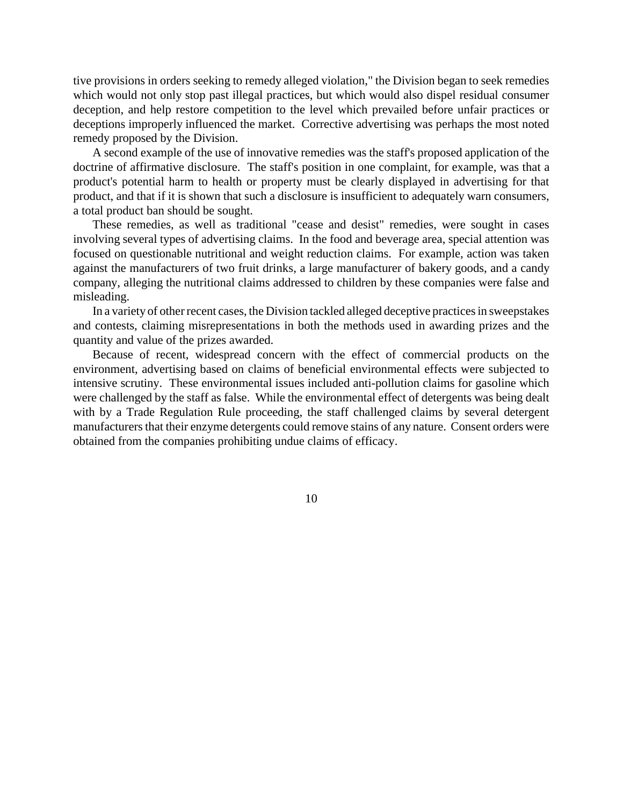tive provisions in orders seeking to remedy alleged violation," the Division began to seek remedies which would not only stop past illegal practices, but which would also dispel residual consumer deception, and help restore competition to the level which prevailed before unfair practices or deceptions improperly influenced the market. Corrective advertising was perhaps the most noted remedy proposed by the Division.

A second example of the use of innovative remedies was the staff's proposed application of the doctrine of affirmative disclosure. The staff's position in one complaint, for example, was that a product's potential harm to health or property must be clearly displayed in advertising for that product, and that if it is shown that such a disclosure is insufficient to adequately warn consumers, a total product ban should be sought.

These remedies, as well as traditional "cease and desist" remedies, were sought in cases involving several types of advertising claims. In the food and beverage area, special attention was focused on questionable nutritional and weight reduction claims. For example, action was taken against the manufacturers of two fruit drinks, a large manufacturer of bakery goods, and a candy company, alleging the nutritional claims addressed to children by these companies were false and misleading.

In a variety of other recent cases, the Division tackled alleged deceptive practices in sweepstakes and contests, claiming misrepresentations in both the methods used in awarding prizes and the quantity and value of the prizes awarded.

Because of recent, widespread concern with the effect of commercial products on the environment, advertising based on claims of beneficial environmental effects were subjected to intensive scrutiny. These environmental issues included anti-pollution claims for gasoline which were challenged by the staff as false. While the environmental effect of detergents was being dealt with by a Trade Regulation Rule proceeding, the staff challenged claims by several detergent manufacturers that their enzyme detergents could remove stains of any nature. Consent orders were obtained from the companies prohibiting undue claims of efficacy.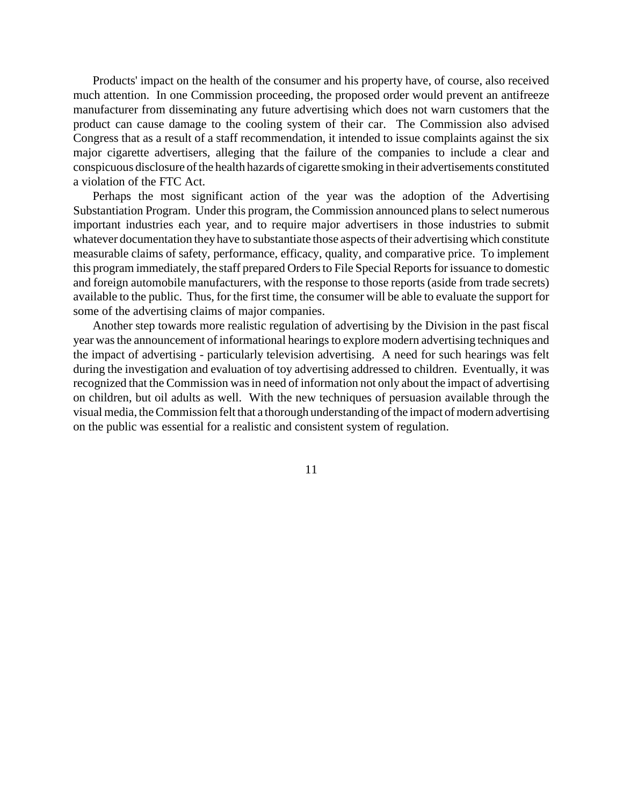Products' impact on the health of the consumer and his property have, of course, also received much attention. In one Commission proceeding, the proposed order would prevent an antifreeze manufacturer from disseminating any future advertising which does not warn customers that the product can cause damage to the cooling system of their car. The Commission also advised Congress that as a result of a staff recommendation, it intended to issue complaints against the six major cigarette advertisers, alleging that the failure of the companies to include a clear and conspicuous disclosure ofthe health hazards of cigarette smoking in their advertisements constituted a violation of the FTC Act.

Perhaps the most significant action of the year was the adoption of the Advertising Substantiation Program. Under this program, the Commission announced plans to select numerous important industries each year, and to require major advertisers in those industries to submit whatever documentation they have to substantiate those aspects of their advertising which constitute measurable claims of safety, performance, efficacy, quality, and comparative price. To implement this program immediately, the staff prepared Orders to File Special Reports for issuance to domestic and foreign automobile manufacturers, with the response to those reports (aside from trade secrets) available to the public. Thus, for the first time, the consumer will be able to evaluate the support for some of the advertising claims of major companies.

Another step towards more realistic regulation of advertising by the Division in the past fiscal year was the announcement of informational hearings to explore modern advertising techniques and the impact of advertising - particularly television advertising. A need for such hearings was felt during the investigation and evaluation of toy advertising addressed to children. Eventually, it was recognized that the Commission was in need of information not only about the impact of advertising on children, but oil adults as well. With the new techniques of persuasion available through the visual media, theCommission felt that a thorough understanding of the impact of modern advertising on the public was essential for a realistic and consistent system of regulation.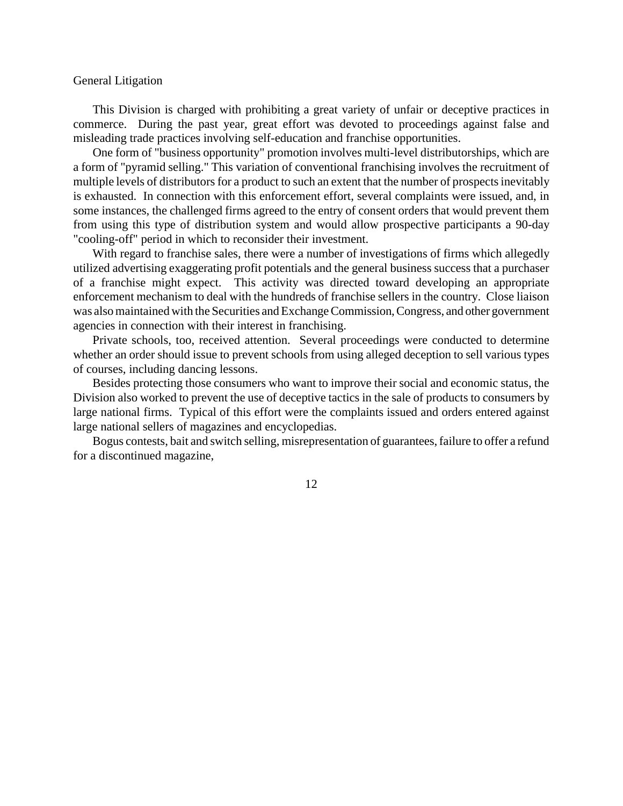## General Litigation

This Division is charged with prohibiting a great variety of unfair or deceptive practices in commerce. During the past year, great effort was devoted to proceedings against false and misleading trade practices involving self-education and franchise opportunities.

One form of "business opportunity" promotion involves multi-level distributorships, which are a form of "pyramid selling." This variation of conventional franchising involves the recruitment of multiple levels of distributors for a product to such an extent that the number of prospects inevitably is exhausted. In connection with this enforcement effort, several complaints were issued, and, in some instances, the challenged firms agreed to the entry of consent orders that would prevent them from using this type of distribution system and would allow prospective participants a 90-day "cooling-off" period in which to reconsider their investment.

With regard to franchise sales, there were a number of investigations of firms which allegedly utilized advertising exaggerating profit potentials and the general business success that a purchaser of a franchise might expect. This activity was directed toward developing an appropriate enforcement mechanism to deal with the hundreds of franchise sellers in the country. Close liaison was also maintained with the Securities and Exchange Commission, Congress, and other government agencies in connection with their interest in franchising.

Private schools, too, received attention. Several proceedings were conducted to determine whether an order should issue to prevent schools from using alleged deception to sell various types of courses, including dancing lessons.

Besides protecting those consumers who want to improve their social and economic status, the Division also worked to prevent the use of deceptive tactics in the sale of products to consumers by large national firms. Typical of this effort were the complaints issued and orders entered against large national sellers of magazines and encyclopedias.

Bogus contests, bait and switch selling, misrepresentation of guarantees, failure to offer a refund for a discontinued magazine,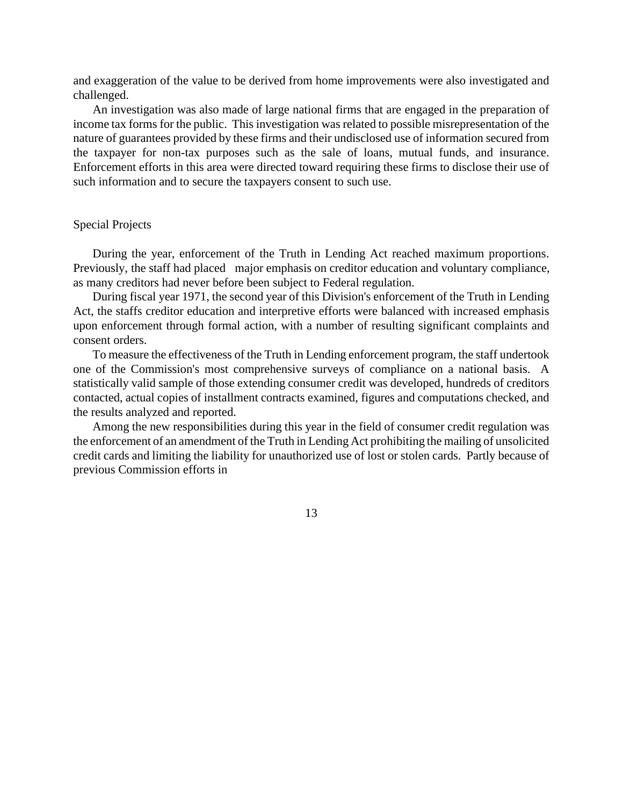and exaggeration of the value to be derived from home improvements were also investigated and challenged.

An investigation was also made of large national firms that are engaged in the preparation of income tax forms for the public. This investigation was related to possible misrepresentation of the nature of guarantees provided by these firms and their undisclosed use of information secured from the taxpayer for non-tax purposes such as the sale of loans, mutual funds, and insurance. Enforcement efforts in this area were directed toward requiring these firms to disclose their use of such information and to secure the taxpayers consent to such use.

## Special Projects

During the year, enforcement of the Truth in Lending Act reached maximum proportions. Previously, the staff had placed major emphasis on creditor education and voluntary compliance, as many creditors had never before been subject to Federal regulation.

During fiscal year 1971, the second year of this Division's enforcement of the Truth in Lending Act, the staffs creditor education and interpretive efforts were balanced with increased emphasis upon enforcement through formal action, with a number of resulting significant complaints and consent orders.

To measure the effectiveness of the Truth in Lending enforcement program, the staff undertook one of the Commission's most comprehensive surveys of compliance on a national basis. A statistically valid sample of those extending consumer credit was developed, hundreds of creditors contacted, actual copies of installment contracts examined, figures and computations checked, and the results analyzed and reported.

Among the new responsibilities during this year in the field of consumer credit regulation was the enforcement of an amendment of the Truth in Lending Act prohibiting the mailing of unsolicited credit cards and limiting the liability for unauthorized use of lost or stolen cards. Partly because of previous Commission efforts in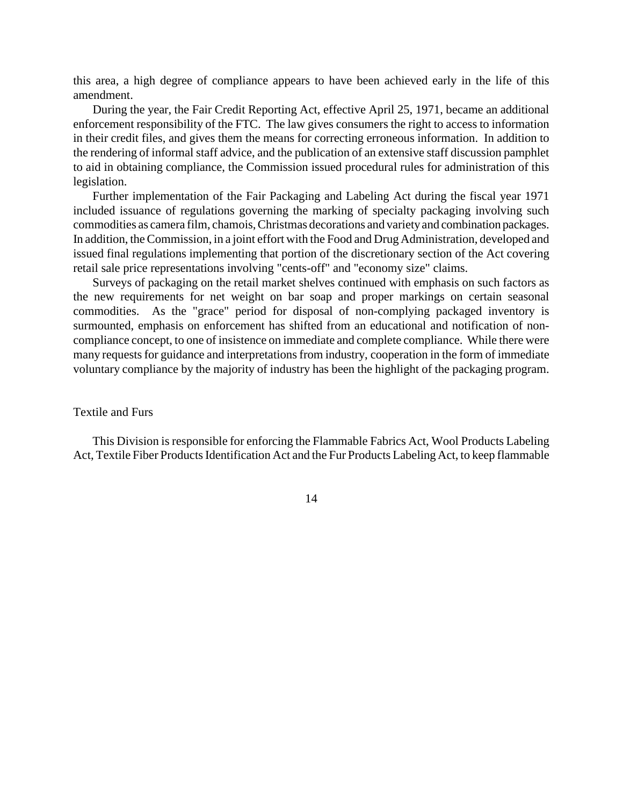this area, a high degree of compliance appears to have been achieved early in the life of this amendment.

During the year, the Fair Credit Reporting Act, effective April 25, 1971, became an additional enforcement responsibility of the FTC. The law gives consumers the right to access to information in their credit files, and gives them the means for correcting erroneous information. In addition to the rendering of informal staff advice, and the publication of an extensive staff discussion pamphlet to aid in obtaining compliance, the Commission issued procedural rules for administration of this legislation.

Further implementation of the Fair Packaging and Labeling Act during the fiscal year 1971 included issuance of regulations governing the marking of specialty packaging involving such commodities as camera film, chamois,Christmas decorations and varietyand combination packages. In addition, theCommission, in a joint effort with the Food and Drug Administration, developed and issued final regulations implementing that portion of the discretionary section of the Act covering retail sale price representations involving "cents-off" and "economy size" claims.

Surveys of packaging on the retail market shelves continued with emphasis on such factors as the new requirements for net weight on bar soap and proper markings on certain seasonal commodities. As the "grace" period for disposal of non-complying packaged inventory is surmounted, emphasis on enforcement has shifted from an educational and notification of noncompliance concept, to one of insistence on immediate and complete compliance. While there were many requests for guidance and interpretations from industry, cooperation in the form of immediate voluntary compliance by the majority of industry has been the highlight of the packaging program.

### Textile and Furs

This Division is responsible for enforcing the Flammable Fabrics Act, Wool Products Labeling Act, Textile Fiber Products Identification Act and the Fur Products Labeling Act, to keep flammable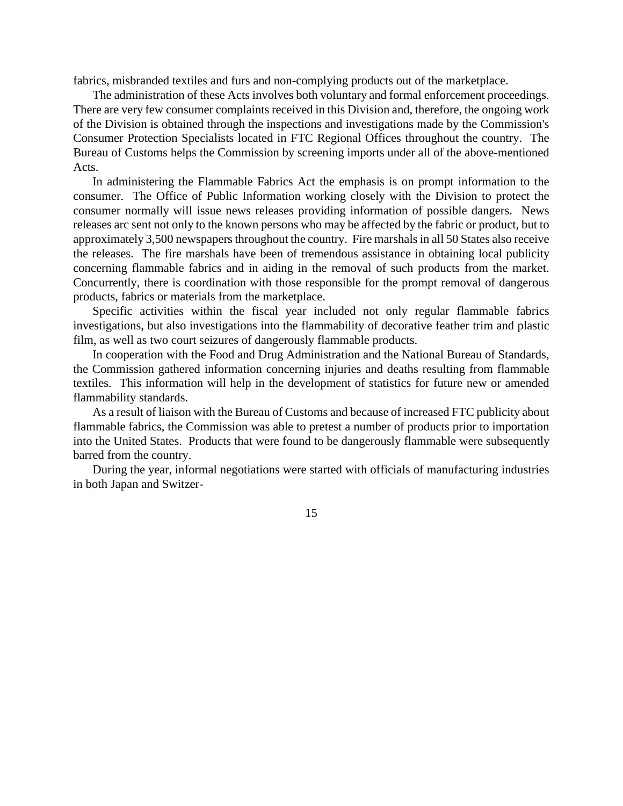fabrics, misbranded textiles and furs and non-complying products out of the marketplace.

The administration of these Acts involves both voluntary and formal enforcement proceedings. There are very few consumer complaints received in this Division and, therefore, the ongoing work of the Division is obtained through the inspections and investigations made by the Commission's Consumer Protection Specialists located in FTC Regional Offices throughout the country. The Bureau of Customs helps the Commission by screening imports under all of the above-mentioned Acts.

In administering the Flammable Fabrics Act the emphasis is on prompt information to the consumer. The Office of Public Information working closely with the Division to protect the consumer normally will issue news releases providing information of possible dangers. News releases arc sent not only to the known persons who may be affected by the fabric or product, but to approximately 3,500 newspapers throughout the country. Fire marshals in all 50 States also receive the releases. The fire marshals have been of tremendous assistance in obtaining local publicity concerning flammable fabrics and in aiding in the removal of such products from the market. Concurrently, there is coordination with those responsible for the prompt removal of dangerous products, fabrics or materials from the marketplace.

Specific activities within the fiscal year included not only regular flammable fabrics investigations, but also investigations into the flammability of decorative feather trim and plastic film, as well as two court seizures of dangerously flammable products.

In cooperation with the Food and Drug Administration and the National Bureau of Standards, the Commission gathered information concerning injuries and deaths resulting from flammable textiles. This information will help in the development of statistics for future new or amended flammability standards.

As a result of liaison with the Bureau of Customs and because of increased FTC publicity about flammable fabrics, the Commission was able to pretest a number of products prior to importation into the United States. Products that were found to be dangerously flammable were subsequently barred from the country.

During the year, informal negotiations were started with officials of manufacturing industries in both Japan and Switzer-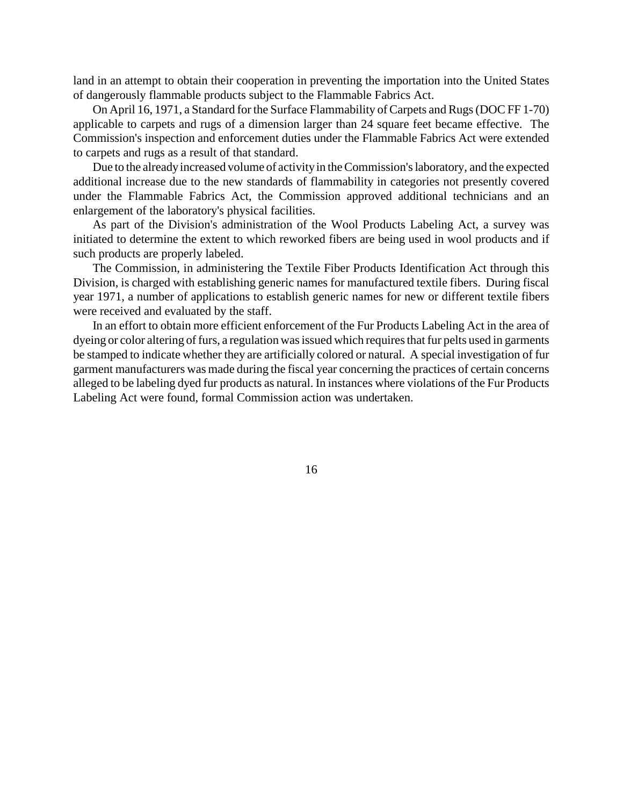land in an attempt to obtain their cooperation in preventing the importation into the United States of dangerously flammable products subject to the Flammable Fabrics Act.

On April 16, 1971, a Standard for the Surface Flammability of Carpets and Rugs(DOC FF 1-70) applicable to carpets and rugs of a dimension larger than 24 square feet became effective. The Commission's inspection and enforcement duties under the Flammable Fabrics Act were extended to carpets and rugs as a result of that standard.

Due to the already increased volume of activity in the Commission's laboratory, and the expected additional increase due to the new standards of flammability in categories not presently covered under the Flammable Fabrics Act, the Commission approved additional technicians and an enlargement of the laboratory's physical facilities.

As part of the Division's administration of the Wool Products Labeling Act, a survey was initiated to determine the extent to which reworked fibers are being used in wool products and if such products are properly labeled.

The Commission, in administering the Textile Fiber Products Identification Act through this Division, is charged with establishing generic names for manufactured textile fibers. During fiscal year 1971, a number of applications to establish generic names for new or different textile fibers were received and evaluated by the staff.

In an effort to obtain more efficient enforcement of the Fur Products Labeling Act in the area of dyeing or color altering of furs, a regulation was issued which requires that fur pelts used in garments be stamped to indicate whether they are artificially colored or natural. A special investigation of fur garment manufacturers was made during the fiscal year concerning the practices of certain concerns alleged to be labeling dyed fur products as natural. In instances where violations of the Fur Products Labeling Act were found, formal Commission action was undertaken.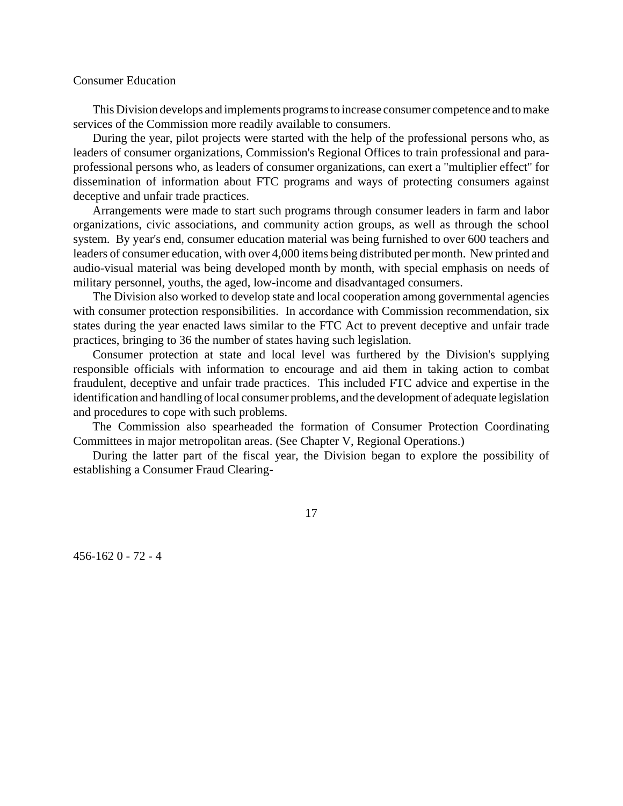## Consumer Education

This Division develops and implements programs to increase consumer competence and to make services of the Commission more readily available to consumers.

During the year, pilot projects were started with the help of the professional persons who, as leaders of consumer organizations, Commission's Regional Offices to train professional and paraprofessional persons who, as leaders of consumer organizations, can exert a "multiplier effect" for dissemination of information about FTC programs and ways of protecting consumers against deceptive and unfair trade practices.

Arrangements were made to start such programs through consumer leaders in farm and labor organizations, civic associations, and community action groups, as well as through the school system. By year's end, consumer education material was being furnished to over 600 teachers and leaders of consumer education, with over 4,000 items being distributed per month. New printed and audio-visual material was being developed month by month, with special emphasis on needs of military personnel, youths, the aged, low-income and disadvantaged consumers.

The Division also worked to develop state and local cooperation among governmental agencies with consumer protection responsibilities. In accordance with Commission recommendation, six states during the year enacted laws similar to the FTC Act to prevent deceptive and unfair trade practices, bringing to 36 the number of states having such legislation.

Consumer protection at state and local level was furthered by the Division's supplying responsible officials with information to encourage and aid them in taking action to combat fraudulent, deceptive and unfair trade practices. This included FTC advice and expertise in the identification and handling of local consumer problems, and the development of adequate legislation and procedures to cope with such problems.

The Commission also spearheaded the formation of Consumer Protection Coordinating Committees in major metropolitan areas. (See Chapter V, Regional Operations.)

During the latter part of the fiscal year, the Division began to explore the possibility of establishing a Consumer Fraud Clearing-

17

456-162 0 - 72 - 4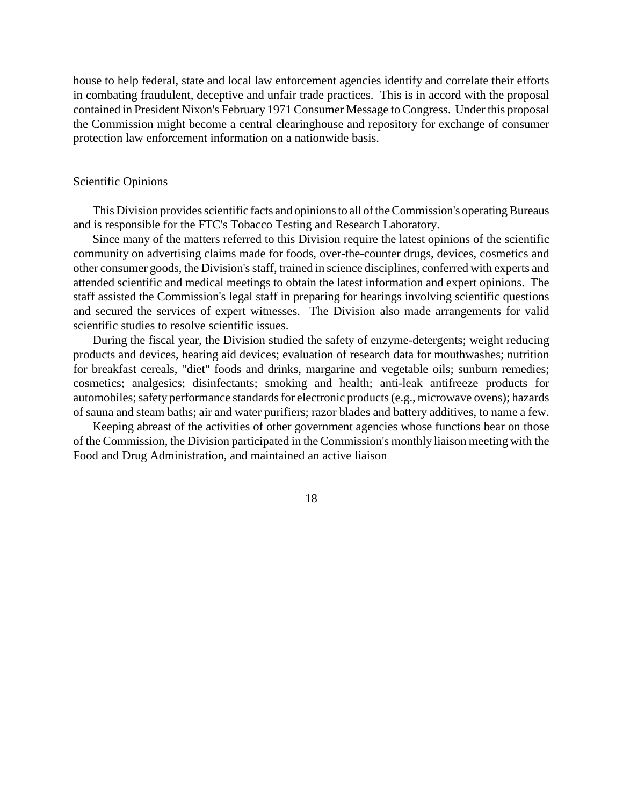house to help federal, state and local law enforcement agencies identify and correlate their efforts in combating fraudulent, deceptive and unfair trade practices. This is in accord with the proposal contained in President Nixon's February 1971 Consumer Message to Congress. Under this proposal the Commission might become a central clearinghouse and repository for exchange of consumer protection law enforcement information on a nationwide basis.

### Scientific Opinions

This Division provides scientific facts and opinions to all of the Commission's operating Bureaus and is responsible for the FTC's Tobacco Testing and Research Laboratory.

Since many of the matters referred to this Division require the latest opinions of the scientific community on advertising claims made for foods, over-the-counter drugs, devices, cosmetics and other consumer goods, the Division's staff, trained in science disciplines, conferred with experts and attended scientific and medical meetings to obtain the latest information and expert opinions. The staff assisted the Commission's legal staff in preparing for hearings involving scientific questions and secured the services of expert witnesses. The Division also made arrangements for valid scientific studies to resolve scientific issues.

During the fiscal year, the Division studied the safety of enzyme-detergents; weight reducing products and devices, hearing aid devices; evaluation of research data for mouthwashes; nutrition for breakfast cereals, "diet" foods and drinks, margarine and vegetable oils; sunburn remedies; cosmetics; analgesics; disinfectants; smoking and health; anti-leak antifreeze products for automobiles; safety performance standards for electronic products (e.g., microwave ovens); hazards of sauna and steam baths; air and water purifiers; razor blades and battery additives, to name a few.

Keeping abreast of the activities of other government agencies whose functions bear on those of the Commission, the Division participated in the Commission's monthly liaison meeting with the Food and Drug Administration, and maintained an active liaison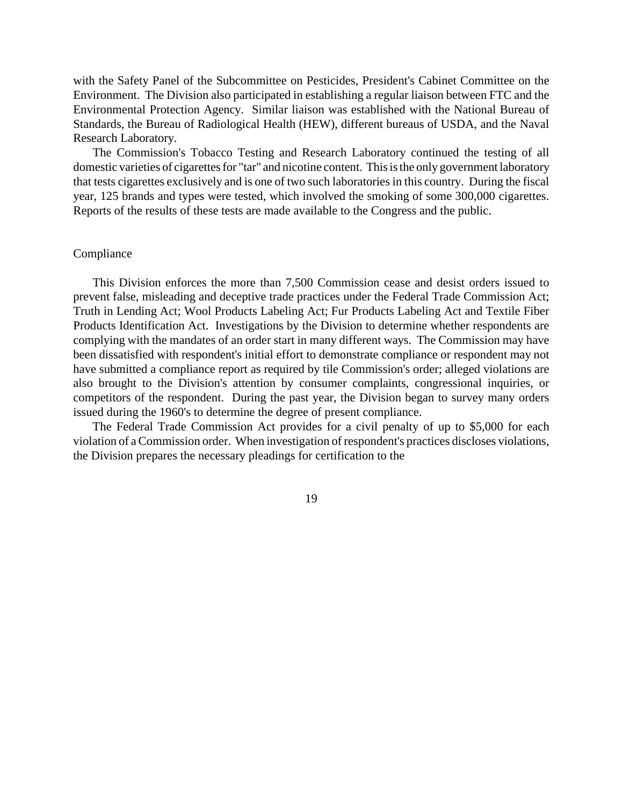with the Safety Panel of the Subcommittee on Pesticides, President's Cabinet Committee on the Environment. The Division also participated in establishing a regular liaison between FTC and the Environmental Protection Agency. Similar liaison was established with the National Bureau of Standards, the Bureau of Radiological Health (HEW), different bureaus of USDA, and the Naval Research Laboratory.

The Commission's Tobacco Testing and Research Laboratory continued the testing of all domestic varieties of cigarettes for "tar" and nicotine content. This is the only government laboratory that tests cigarettes exclusively and is one of two such laboratories in this country. During the fiscal year, 125 brands and types were tested, which involved the smoking of some 300,000 cigarettes. Reports of the results of these tests are made available to the Congress and the public.

### Compliance

This Division enforces the more than 7,500 Commission cease and desist orders issued to prevent false, misleading and deceptive trade practices under the Federal Trade Commission Act; Truth in Lending Act; Wool Products Labeling Act; Fur Products Labeling Act and Textile Fiber Products Identification Act. Investigations by the Division to determine whether respondents are complying with the mandates of an order start in many different ways. The Commission may have been dissatisfied with respondent's initial effort to demonstrate compliance or respondent may not have submitted a compliance report as required by tile Commission's order; alleged violations are also brought to the Division's attention by consumer complaints, congressional inquiries, or competitors of the respondent. During the past year, the Division began to survey many orders issued during the 1960's to determine the degree of present compliance.

The Federal Trade Commission Act provides for a civil penalty of up to \$5,000 for each violation of aCommission order. When investigation of respondent's practices discloses violations, the Division prepares the necessary pleadings for certification to the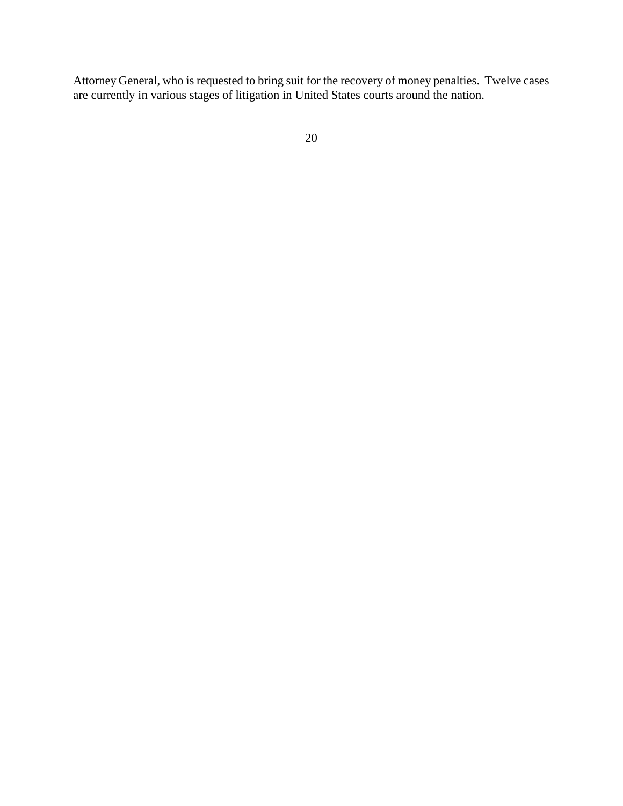Attorney General, who is requested to bring suit for the recovery of money penalties. Twelve cases are currently in various stages of litigation in United States courts around the nation.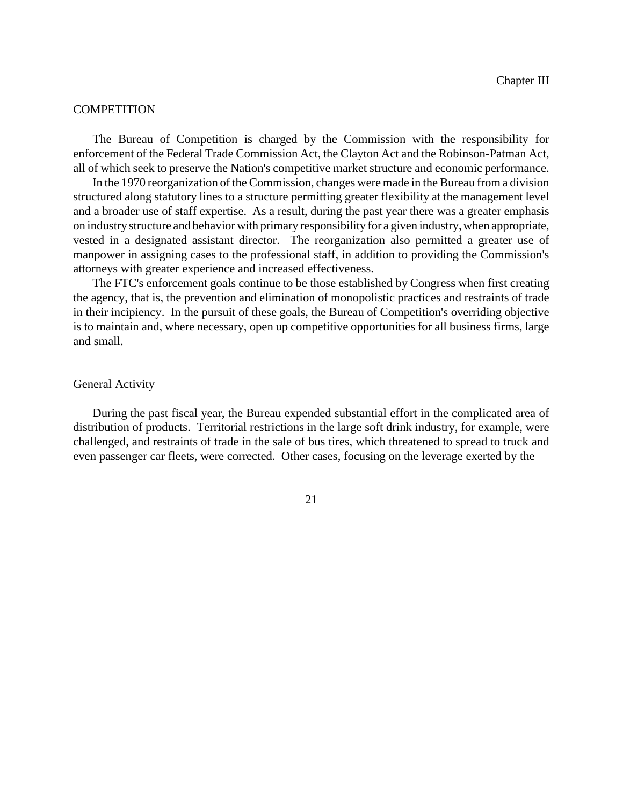#### **COMPETITION**

The Bureau of Competition is charged by the Commission with the responsibility for enforcement of the Federal Trade Commission Act, the Clayton Act and the Robinson-Patman Act, all of which seek to preserve the Nation's competitive market structure and economic performance.

In the 1970 reorganization of the Commission, changes were made in the Bureau from a division structured along statutory lines to a structure permitting greater flexibility at the management level and a broader use of staff expertise. As a result, during the past year there was a greater emphasis on industrystructure and behavior with primary responsibility for a given industry, when appropriate, vested in a designated assistant director. The reorganization also permitted a greater use of manpower in assigning cases to the professional staff, in addition to providing the Commission's attorneys with greater experience and increased effectiveness.

The FTC's enforcement goals continue to be those established by Congress when first creating the agency, that is, the prevention and elimination of monopolistic practices and restraints of trade in their incipiency. In the pursuit of these goals, the Bureau of Competition's overriding objective is to maintain and, where necessary, open up competitive opportunities for all business firms, large and small.

#### General Activity

During the past fiscal year, the Bureau expended substantial effort in the complicated area of distribution of products. Territorial restrictions in the large soft drink industry, for example, were challenged, and restraints of trade in the sale of bus tires, which threatened to spread to truck and even passenger car fleets, were corrected. Other cases, focusing on the leverage exerted by the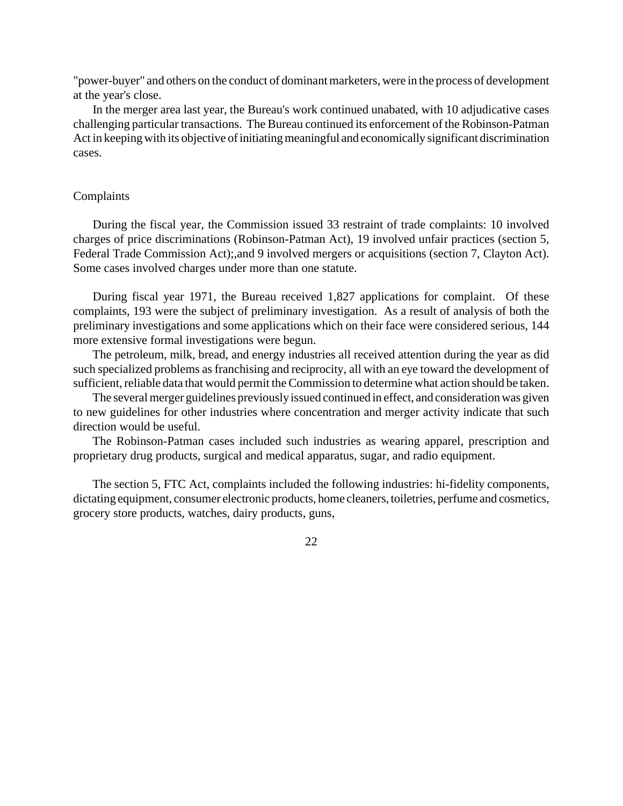"power-buyer" and others on the conduct of dominant marketers, were in the process of development at the year's close.

In the merger area last year, the Bureau's work continued unabated, with 10 adjudicative cases challenging particular transactions. The Bureau continued its enforcement of the Robinson-Patman Act in keepingwith its objective of initiating meaningful and economically significant discrimination cases.

## Complaints

During the fiscal year, the Commission issued 33 restraint of trade complaints: 10 involved charges of price discriminations (Robinson-Patman Act), 19 involved unfair practices (section 5, Federal Trade Commission Act);,and 9 involved mergers or acquisitions (section 7, Clayton Act). Some cases involved charges under more than one statute.

During fiscal year 1971, the Bureau received 1,827 applications for complaint. Of these complaints, 193 were the subject of preliminary investigation. As a result of analysis of both the preliminary investigations and some applications which on their face were considered serious, 144 more extensive formal investigations were begun.

The petroleum, milk, bread, and energy industries all received attention during the year as did such specialized problems asfranchising and reciprocity, all with an eye toward the development of sufficient, reliable data that would permit the Commission to determine what action should be taken.

The several merger guidelines previouslyissued continued in effect, and consideration was given to new guidelines for other industries where concentration and merger activity indicate that such direction would be useful.

The Robinson-Patman cases included such industries as wearing apparel, prescription and proprietary drug products, surgical and medical apparatus, sugar, and radio equipment.

The section 5, FTC Act, complaints included the following industries: hi-fidelity components, dictating equipment, consumer electronic products, home cleaners, toiletries, perfume and cosmetics, grocery store products, watches, dairy products, guns,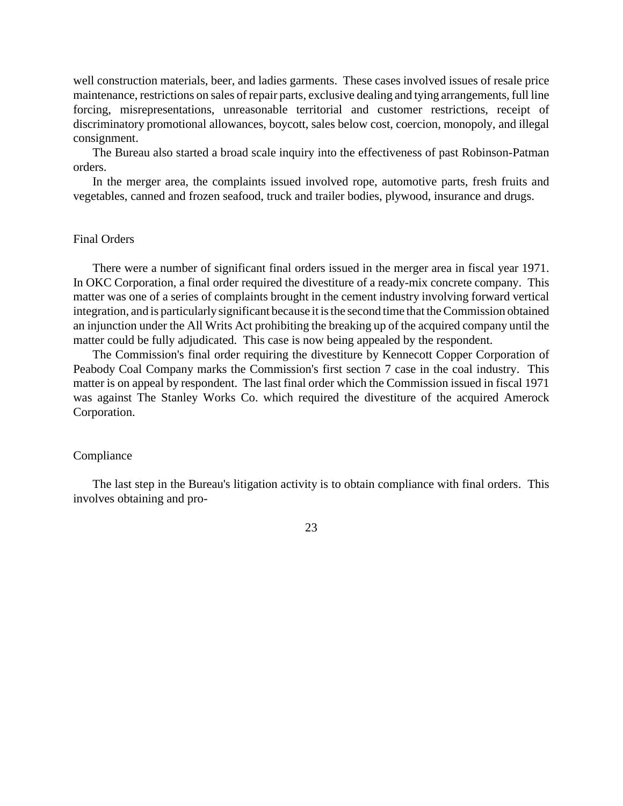well construction materials, beer, and ladies garments. These cases involved issues of resale price maintenance, restrictions on sales of repair parts, exclusive dealing and tying arrangements, full line forcing, misrepresentations, unreasonable territorial and customer restrictions, receipt of discriminatory promotional allowances, boycott, sales below cost, coercion, monopoly, and illegal consignment.

The Bureau also started a broad scale inquiry into the effectiveness of past Robinson-Patman orders.

In the merger area, the complaints issued involved rope, automotive parts, fresh fruits and vegetables, canned and frozen seafood, truck and trailer bodies, plywood, insurance and drugs.

### Final Orders

There were a number of significant final orders issued in the merger area in fiscal year 1971. In OKC Corporation, a final order required the divestiture of a ready-mix concrete company. This matter was one of a series of complaints brought in the cement industry involving forward vertical integration, and is particularly significant because it is the second time that the Commission obtained an injunction under the All Writs Act prohibiting the breaking up of the acquired company until the matter could be fully adjudicated. This case is now being appealed by the respondent.

The Commission's final order requiring the divestiture by Kennecott Copper Corporation of Peabody Coal Company marks the Commission's first section 7 case in the coal industry. This matter is on appeal by respondent. The last final order which the Commission issued in fiscal 1971 was against The Stanley Works Co. which required the divestiture of the acquired Amerock Corporation.

#### Compliance

The last step in the Bureau's litigation activity is to obtain compliance with final orders. This involves obtaining and pro-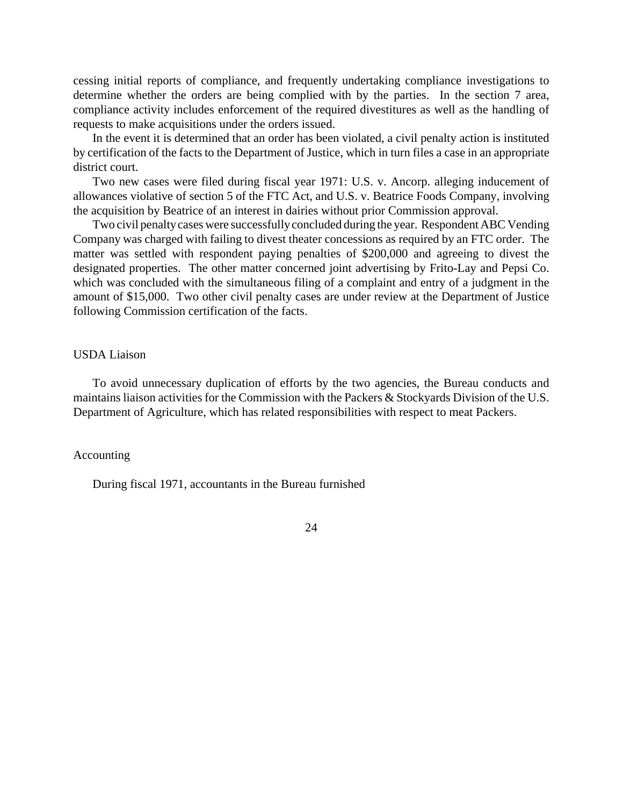cessing initial reports of compliance, and frequently undertaking compliance investigations to determine whether the orders are being complied with by the parties. In the section 7 area, compliance activity includes enforcement of the required divestitures as well as the handling of requests to make acquisitions under the orders issued.

In the event it is determined that an order has been violated, a civil penalty action is instituted by certification of the facts to the Department of Justice, which in turn files a case in an appropriate district court.

Two new cases were filed during fiscal year 1971: U.S. v. Ancorp. alleging inducement of allowances violative of section 5 of the FTC Act, and U.S. v. Beatrice Foods Company, involving the acquisition by Beatrice of an interest in dairies without prior Commission approval.

Two civil penalty cases were successfully concluded during the year. Respondent ABC Vending Company was charged with failing to divest theater concessions as required by an FTC order. The matter was settled with respondent paying penalties of \$200,000 and agreeing to divest the designated properties. The other matter concerned joint advertising by Frito-Lay and Pepsi Co. which was concluded with the simultaneous filing of a complaint and entry of a judgment in the amount of \$15,000. Two other civil penalty cases are under review at the Department of Justice following Commission certification of the facts.

### USDA Liaison

To avoid unnecessary duplication of efforts by the two agencies, the Bureau conducts and maintains liaison activities for the Commission with the Packers & Stockyards Division of the U.S. Department of Agriculture, which has related responsibilities with respect to meat Packers.

## Accounting

During fiscal 1971, accountants in the Bureau furnished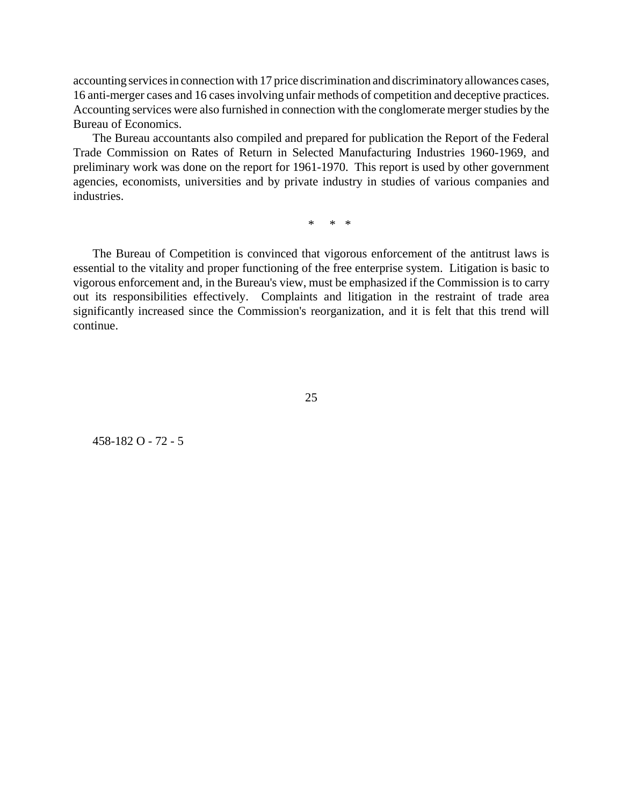accounting services in connection with 17 price discrimination and discriminatory allowances cases, 16 anti-merger cases and 16 casesinvolving unfair methods of competition and deceptive practices. Accounting services were also furnished in connection with the conglomerate merger studies by the Bureau of Economics.

The Bureau accountants also compiled and prepared for publication the Report of the Federal Trade Commission on Rates of Return in Selected Manufacturing Industries 1960-1969, and preliminary work was done on the report for 1961-1970. This report is used by other government agencies, economists, universities and by private industry in studies of various companies and industries.

\* \* \*

The Bureau of Competition is convinced that vigorous enforcement of the antitrust laws is essential to the vitality and proper functioning of the free enterprise system. Litigation is basic to vigorous enforcement and, in the Bureau's view, must be emphasized if the Commission is to carry out its responsibilities effectively. Complaints and litigation in the restraint of trade area significantly increased since the Commission's reorganization, and it is felt that this trend will continue.

25

458-182 O - 72 - 5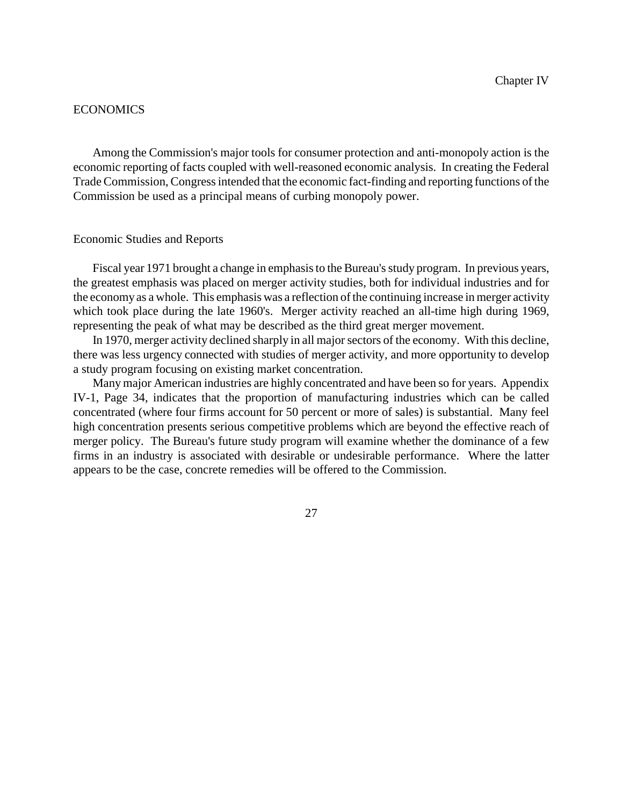## **ECONOMICS**

Among the Commission's major tools for consumer protection and anti-monopoly action is the economic reporting of facts coupled with well-reasoned economic analysis. In creating the Federal Trade Commission, Congressintended that the economic fact-finding and reporting functions of the Commission be used as a principal means of curbing monopoly power.

#### Economic Studies and Reports

Fiscal year 1971 brought a change in emphasis to the Bureau's study program. In previous years, the greatest emphasis was placed on merger activity studies, both for individual industries and for the economy as a whole. This emphasis was a reflection of the continuing increase in merger activity which took place during the late 1960's. Merger activity reached an all-time high during 1969, representing the peak of what may be described as the third great merger movement.

In 1970, merger activity declined sharply in all major sectors of the economy. With this decline, there was less urgency connected with studies of merger activity, and more opportunity to develop a study program focusing on existing market concentration.

Many major American industries are highly concentrated and have been so for years. Appendix IV-1, Page 34, indicates that the proportion of manufacturing industries which can be called concentrated (where four firms account for 50 percent or more of sales) is substantial. Many feel high concentration presents serious competitive problems which are beyond the effective reach of merger policy. The Bureau's future study program will examine whether the dominance of a few firms in an industry is associated with desirable or undesirable performance. Where the latter appears to be the case, concrete remedies will be offered to the Commission.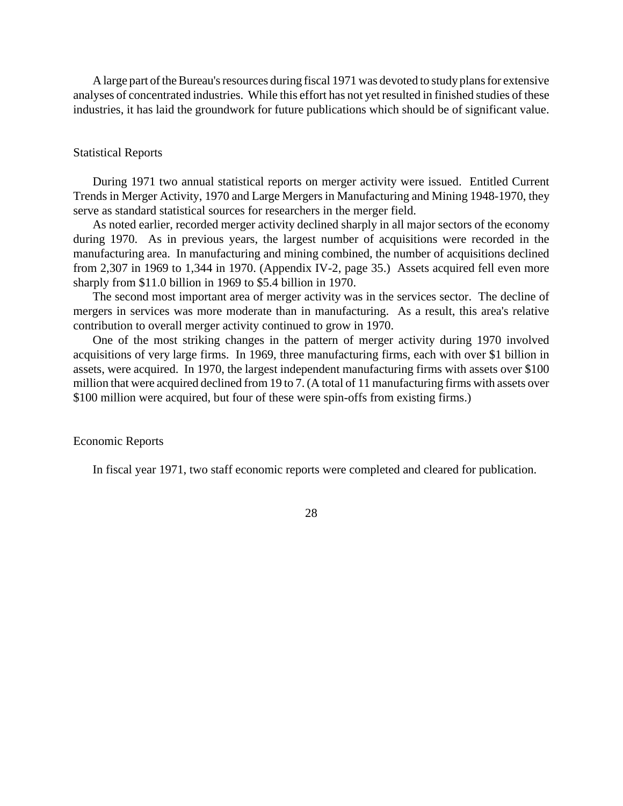A large part of the Bureau's resources during fiscal 1971 was devoted to study plans for extensive analyses of concentrated industries. While this effort has not yet resulted in finished studies of these industries, it has laid the groundwork for future publications which should be of significant value.

## Statistical Reports

During 1971 two annual statistical reports on merger activity were issued. Entitled Current Trends in Merger Activity, 1970 and Large Mergers in Manufacturing and Mining 1948-1970, they serve as standard statistical sources for researchers in the merger field.

As noted earlier, recorded merger activity declined sharply in all major sectors of the economy during 1970. As in previous years, the largest number of acquisitions were recorded in the manufacturing area. In manufacturing and mining combined, the number of acquisitions declined from 2,307 in 1969 to 1,344 in 1970. (Appendix IV-2, page 35.) Assets acquired fell even more sharply from \$11.0 billion in 1969 to \$5.4 billion in 1970.

The second most important area of merger activity was in the services sector. The decline of mergers in services was more moderate than in manufacturing. As a result, this area's relative contribution to overall merger activity continued to grow in 1970.

One of the most striking changes in the pattern of merger activity during 1970 involved acquisitions of very large firms. In 1969, three manufacturing firms, each with over \$1 billion in assets, were acquired. In 1970, the largest independent manufacturing firms with assets over \$100 million that were acquired declined from 19 to 7. (A total of 11 manufacturing firms with assets over \$100 million were acquired, but four of these were spin-offs from existing firms.)

# Economic Reports

In fiscal year 1971, two staff economic reports were completed and cleared for publication.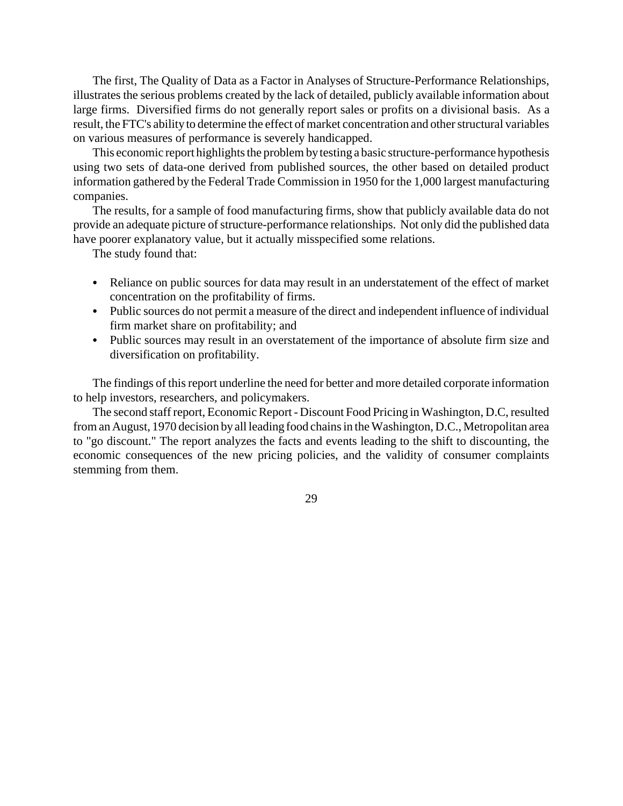The first, The Quality of Data as a Factor in Analyses of Structure-Performance Relationships, illustrates the serious problems created by the lack of detailed, publicly available information about large firms. Diversified firms do not generally report sales or profits on a divisional basis. As a result, the FTC's ability to determine the effect of market concentration and other structural variables on various measures of performance is severely handicapped.

This economic report highlights the problem by testing a basic structure-performance hypothesis using two sets of data-one derived from published sources, the other based on detailed product information gathered by the Federal Trade Commission in 1950 for the 1,000 largest manufacturing companies.

The results, for a sample of food manufacturing firms, show that publicly available data do not provide an adequate picture of structure-performance relationships. Not only did the published data have poorer explanatory value, but it actually misspecified some relations.

The study found that:

- Reliance on public sources for data may result in an understatement of the effect of market concentration on the profitability of firms.
- Public sources do not permit a measure of the direct and independent influence of individual firm market share on profitability; and
- Public sources may result in an overstatement of the importance of absolute firm size and diversification on profitability.

The findings of this report underline the need for better and more detailed corporate information to help investors, researchers, and policymakers.

The second staff report, Economic Report - Discount Food Pricing in Washington, D.C, resulted from an August, 1970 decision by all leading food chains in the Washington, D.C., Metropolitan area to "go discount." The report analyzes the facts and events leading to the shift to discounting, the economic consequences of the new pricing policies, and the validity of consumer complaints stemming from them.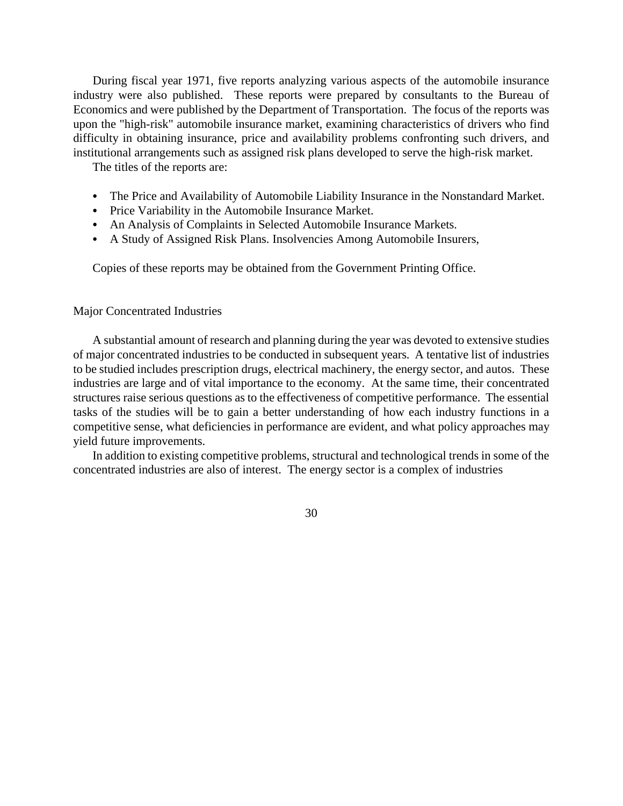During fiscal year 1971, five reports analyzing various aspects of the automobile insurance industry were also published. These reports were prepared by consultants to the Bureau of Economics and were published by the Department of Transportation. The focus of the reports was upon the "high-risk" automobile insurance market, examining characteristics of drivers who find difficulty in obtaining insurance, price and availability problems confronting such drivers, and institutional arrangements such as assigned risk plans developed to serve the high-risk market.

The titles of the reports are:

- The Price and Availability of Automobile Liability Insurance in the Nonstandard Market.
- Price Variability in the Automobile Insurance Market.
- An Analysis of Complaints in Selected Automobile Insurance Markets.
- A Study of Assigned Risk Plans. Insolvencies Among Automobile Insurers,

Copies of these reports may be obtained from the Government Printing Office.

#### Major Concentrated Industries

A substantial amount of research and planning during the year was devoted to extensive studies of major concentrated industries to be conducted in subsequent years. A tentative list of industries to be studied includes prescription drugs, electrical machinery, the energy sector, and autos. These industries are large and of vital importance to the economy. At the same time, their concentrated structures raise serious questions as to the effectiveness of competitive performance. The essential tasks of the studies will be to gain a better understanding of how each industry functions in a competitive sense, what deficiencies in performance are evident, and what policy approaches may yield future improvements.

In addition to existing competitive problems, structural and technological trends in some of the concentrated industries are also of interest. The energy sector is a complex of industries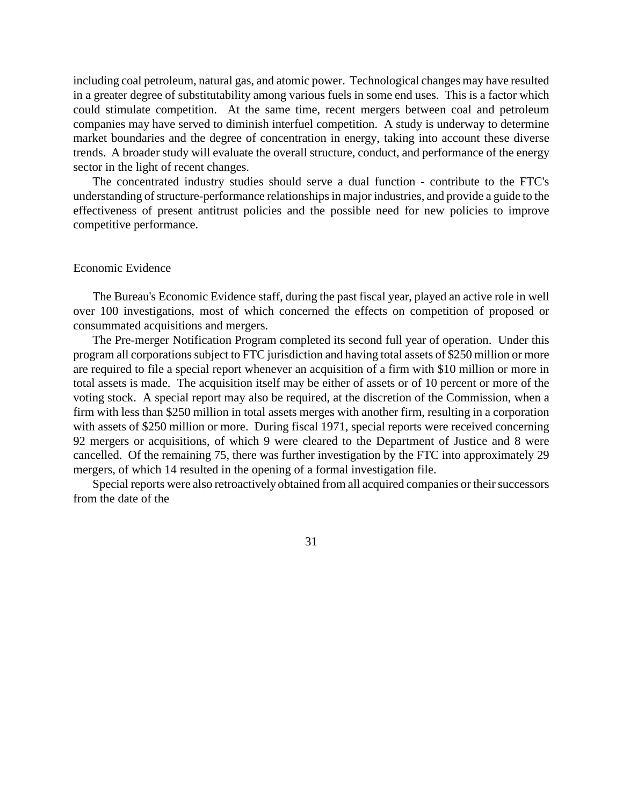including coal petroleum, natural gas, and atomic power. Technological changes may have resulted in a greater degree of substitutability among various fuels in some end uses. This is a factor which could stimulate competition. At the same time, recent mergers between coal and petroleum companies may have served to diminish interfuel competition. A study is underway to determine market boundaries and the degree of concentration in energy, taking into account these diverse trends. A broader study will evaluate the overall structure, conduct, and performance of the energy sector in the light of recent changes.

The concentrated industry studies should serve a dual function - contribute to the FTC's understanding of structure-performance relationships in major industries, and provide a guide to the effectiveness of present antitrust policies and the possible need for new policies to improve competitive performance.

#### Economic Evidence

The Bureau's Economic Evidence staff, during the past fiscal year, played an active role in well over 100 investigations, most of which concerned the effects on competition of proposed or consummated acquisitions and mergers.

The Pre-merger Notification Program completed its second full year of operation. Under this program all corporations subject to FTC jurisdiction and having total assets of \$250 million or more are required to file a special report whenever an acquisition of a firm with \$10 million or more in total assets is made. The acquisition itself may be either of assets or of 10 percent or more of the voting stock. A special report may also be required, at the discretion of the Commission, when a firm with less than \$250 million in total assets merges with another firm, resulting in a corporation with assets of \$250 million or more. During fiscal 1971, special reports were received concerning 92 mergers or acquisitions, of which 9 were cleared to the Department of Justice and 8 were cancelled. Of the remaining 75, there was further investigation by the FTC into approximately 29 mergers, of which 14 resulted in the opening of a formal investigation file.

Special reports were also retroactively obtained from all acquired companies or their successors from the date of the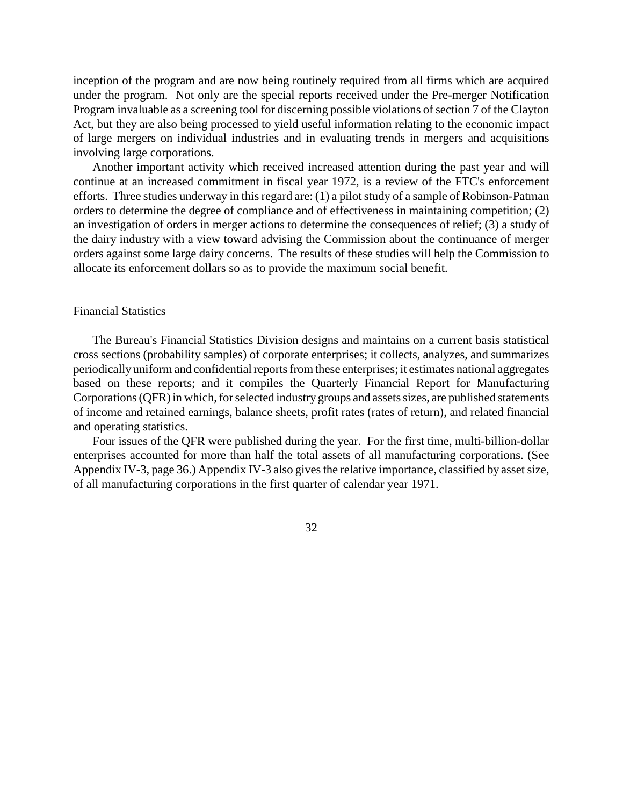inception of the program and are now being routinely required from all firms which are acquired under the program. Not only are the special reports received under the Pre-merger Notification Program invaluable as a screening tool for discerning possible violations of section 7 of the Clayton Act, but they are also being processed to yield useful information relating to the economic impact of large mergers on individual industries and in evaluating trends in mergers and acquisitions involving large corporations.

Another important activity which received increased attention during the past year and will continue at an increased commitment in fiscal year 1972, is a review of the FTC's enforcement efforts. Three studies underway in this regard are: (1) a pilot study of a sample of Robinson-Patman orders to determine the degree of compliance and of effectiveness in maintaining competition; (2) an investigation of orders in merger actions to determine the consequences of relief; (3) a study of the dairy industry with a view toward advising the Commission about the continuance of merger orders against some large dairy concerns. The results of these studies will help the Commission to allocate its enforcement dollars so as to provide the maximum social benefit.

#### Financial Statistics

The Bureau's Financial Statistics Division designs and maintains on a current basis statistical cross sections (probability samples) of corporate enterprises; it collects, analyzes, and summarizes periodically uniform and confidential reports from these enterprises; it estimates national aggregates based on these reports; and it compiles the Quarterly Financial Report for Manufacturing Corporations (QFR) in which, for selected industry groups and assets sizes, are published statements of income and retained earnings, balance sheets, profit rates (rates of return), and related financial and operating statistics.

Four issues of the QFR were published during the year. For the first time, multi-billion-dollar enterprises accounted for more than half the total assets of all manufacturing corporations. (See Appendix IV-3, page 36.) Appendix IV-3 also gives the relative importance, classified by asset size, of all manufacturing corporations in the first quarter of calendar year 1971.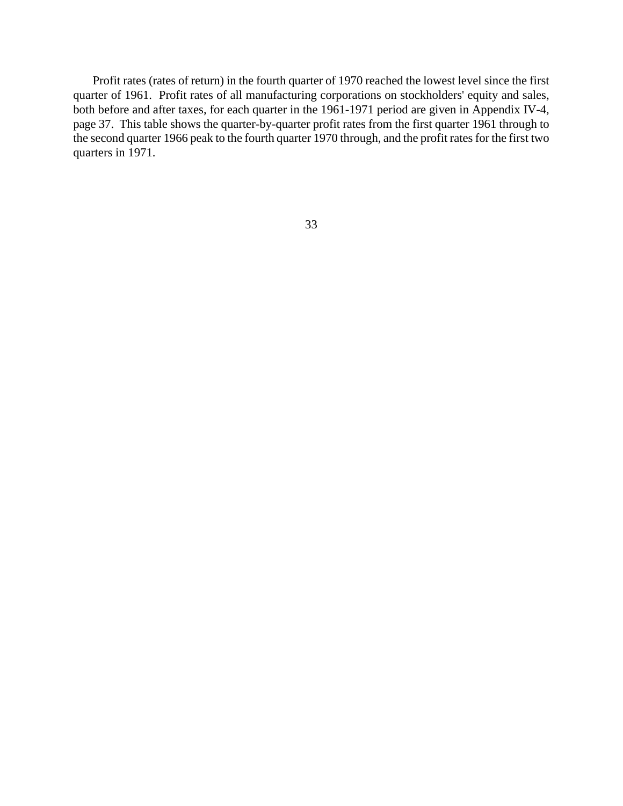Profit rates (rates of return) in the fourth quarter of 1970 reached the lowest level since the first quarter of 1961. Profit rates of all manufacturing corporations on stockholders' equity and sales, both before and after taxes, for each quarter in the 1961-1971 period are given in Appendix IV-4, page 37. This table shows the quarter-by-quarter profit rates from the first quarter 1961 through to the second quarter 1966 peak to the fourth quarter 1970 through, and the profit rates for the first two quarters in 1971.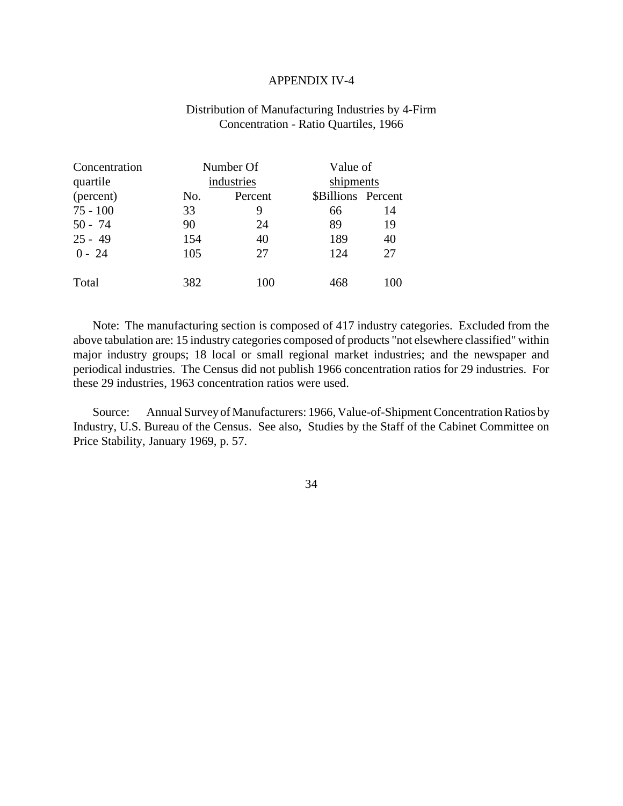#### APPENDIX IV-4

# Distribution of Manufacturing Industries by 4-Firm Concentration - Ratio Quartiles, 1966

| Concentration | Number Of |            | Value of           |           |
|---------------|-----------|------------|--------------------|-----------|
| quartile      |           | industries |                    | shipments |
| (percent)     | No.       | Percent    | \$Billions Percent |           |
| $75 - 100$    | 33        | 9          | 66                 | 14        |
| $50 - 74$     | 90        | 24         | 89                 | 19        |
| $25 - 49$     | 154       | 40         | 189                | 40        |
| $0 - 24$      | 105       | 27         | 124                | 27        |
| Total         | 382       | 100        | 468                | 100       |

Note: The manufacturing section is composed of 417 industry categories. Excluded from the above tabulation are: 15 industry categories composed of products "not elsewhere classified" within major industry groups; 18 local or small regional market industries; and the newspaper and periodical industries. The Census did not publish 1966 concentration ratios for 29 industries. For these 29 industries, 1963 concentration ratios were used.

Source: Annual Survey of Manufacturers: 1966, Value-of-Shipment Concentration Ratios by Industry, U.S. Bureau of the Census. See also, Studies by the Staff of the Cabinet Committee on Price Stability, January 1969, p. 57.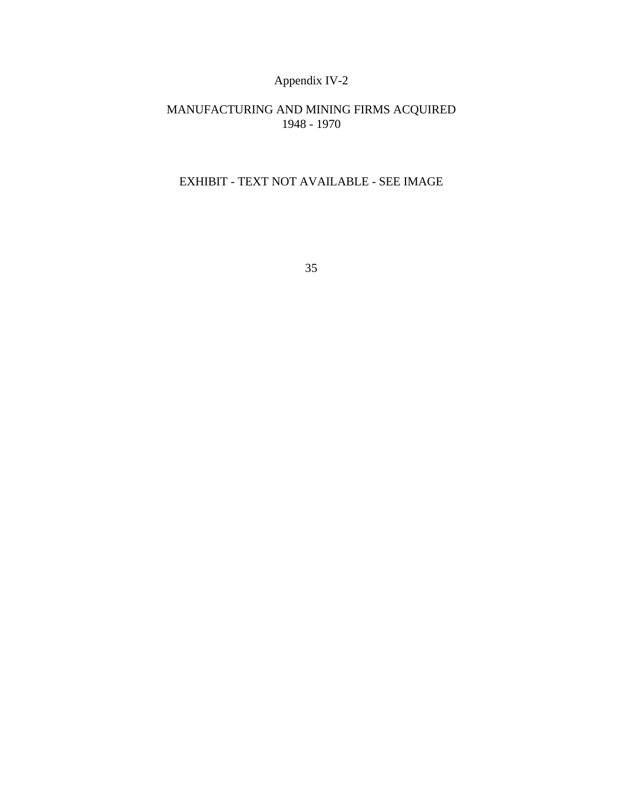# Appendix IV-2

# MANUFACTURING AND MINING FIRMS ACQUIRED 1948 - 1970

# EXHIBIT - TEXT NOT AVAILABLE - SEE IMAGE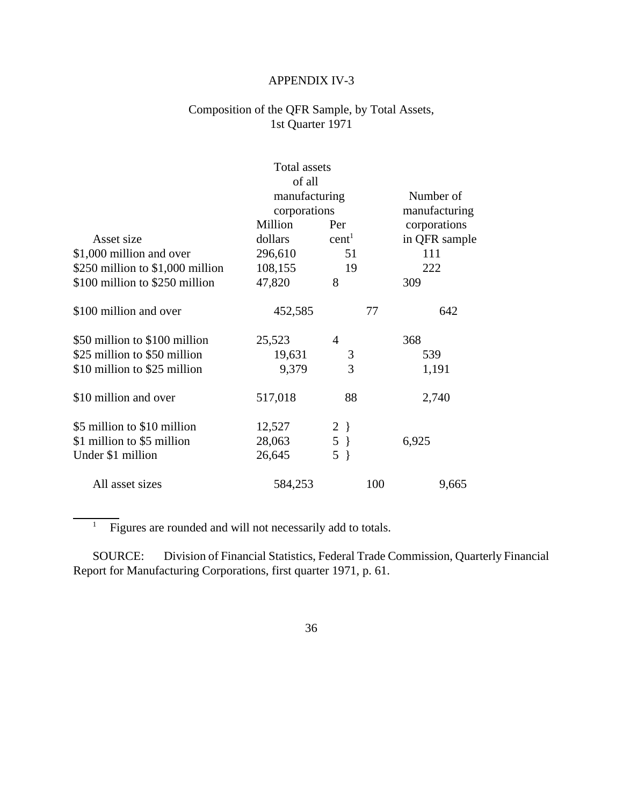# APPENDIX IV-3

# Composition of the QFR Sample, by Total Assets, 1st Quarter 1971

| <b>Total assets</b>               |               |                   |     |               |  |
|-----------------------------------|---------------|-------------------|-----|---------------|--|
|                                   | of all        |                   |     |               |  |
|                                   | manufacturing |                   |     | Number of     |  |
|                                   | corporations  |                   |     | manufacturing |  |
|                                   | Million       | Per               |     | corporations  |  |
| Asset size                        | dollars       | cent <sup>1</sup> |     | in QFR sample |  |
| \$1,000 million and over          | 296,610       | 51                |     | 111           |  |
| \$250 million to $$1,000$ million | 108,155       | 19                |     | 222           |  |
| \$100 million to \$250 million    | 47,820        | 8                 |     | 309           |  |
| \$100 million and over            | 452,585       |                   | 77  | 642           |  |
| \$50 million to \$100 million     | 25,523        | $\overline{4}$    |     | 368           |  |
| \$25 million to \$50 million      | 19,631        | 3                 |     | 539           |  |
| \$10 million to \$25 million      | 9,379         | 3                 |     | 1,191         |  |
| \$10 million and over             | 517,018       | 88                |     | 2,740         |  |
| \$5 million to \$10 million       | 12,527        | $2 \}$            |     |               |  |
| \$1 million to \$5 million        | 28,063        | $5 \}$            |     | 6,925         |  |
| Under \$1 million                 | 26,645        | $5 \}$            |     |               |  |
| All asset sizes                   | 584,253       |                   | 100 | 9,665         |  |

 $\overline{1}$  Figures are rounded and will not necessarily add to totals.

 $\overline{a}$ 

SOURCE: Division of Financial Statistics, Federal Trade Commission, Quarterly Financial Report for Manufacturing Corporations, first quarter 1971, p. 61.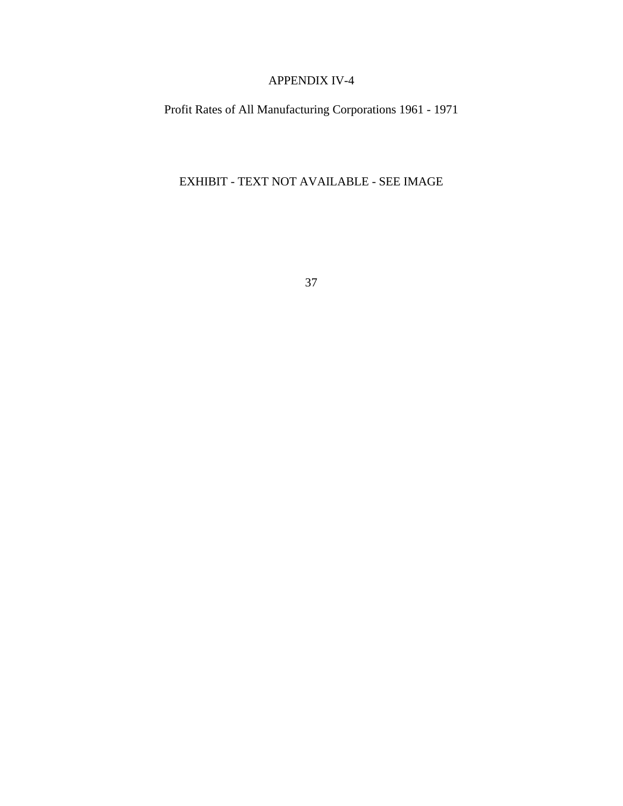# APPENDIX IV-4

Profit Rates of All Manufacturing Corporations 1961 - 1971

EXHIBIT - TEXT NOT AVAILABLE - SEE IMAGE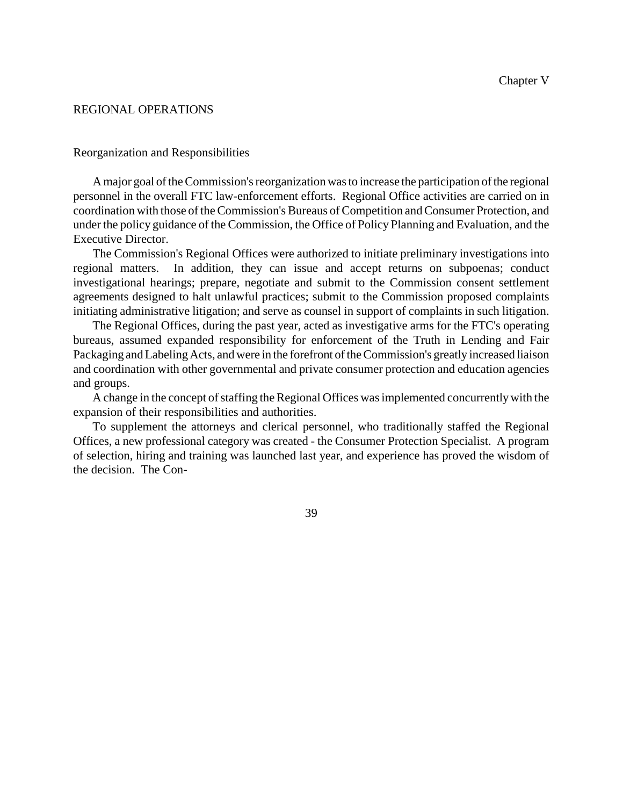## REGIONAL OPERATIONS

#### Reorganization and Responsibilities

A major goal of the Commission's reorganization was to increase the participation of the regional personnel in the overall FTC law-enforcement efforts. Regional Office activities are carried on in coordination with those of theCommission's Bureaus ofCompetition andConsumer Protection, and under the policy guidance of the Commission, the Office of Policy Planning and Evaluation, and the Executive Director.

The Commission's Regional Offices were authorized to initiate preliminary investigations into regional matters. In addition, they can issue and accept returns on subpoenas; conduct investigational hearings; prepare, negotiate and submit to the Commission consent settlement agreements designed to halt unlawful practices; submit to the Commission proposed complaints initiating administrative litigation; and serve as counsel in support of complaints in such litigation.

The Regional Offices, during the past year, acted as investigative arms for the FTC's operating bureaus, assumed expanded responsibility for enforcement of the Truth in Lending and Fair Packaging andLabelingActs, and were in the forefront of the Commission's greatly increased liaison and coordination with other governmental and private consumer protection and education agencies and groups.

A change in the concept of staffing the Regional Offices was implemented concurrently with the expansion of their responsibilities and authorities.

To supplement the attorneys and clerical personnel, who traditionally staffed the Regional Offices, a new professional category was created - the Consumer Protection Specialist. A program of selection, hiring and training was launched last year, and experience has proved the wisdom of the decision. The Con-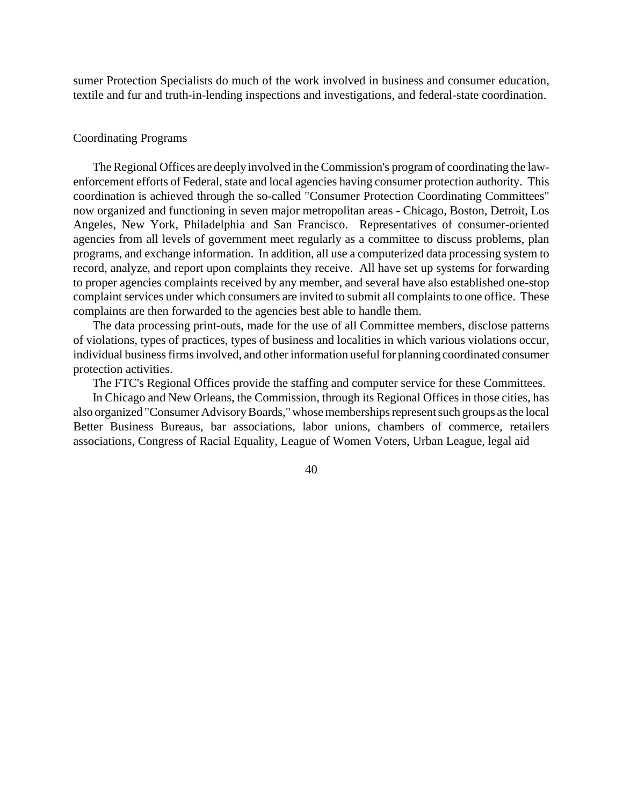sumer Protection Specialists do much of the work involved in business and consumer education, textile and fur and truth-in-lending inspections and investigations, and federal-state coordination.

#### Coordinating Programs

The Regional Offices are deeply involved in the Commission's program of coordinating the lawenforcement efforts of Federal, state and local agencies having consumer protection authority. This coordination is achieved through the so-called "Consumer Protection Coordinating Committees" now organized and functioning in seven major metropolitan areas - Chicago, Boston, Detroit, Los Angeles, New York, Philadelphia and San Francisco. Representatives of consumer-oriented agencies from all levels of government meet regularly as a committee to discuss problems, plan programs, and exchange information. In addition, all use a computerized data processing system to record, analyze, and report upon complaints they receive. All have set up systems for forwarding to proper agencies complaints received by any member, and several have also established one-stop complaint services under which consumers are invited to submit all complaints to one office. These complaints are then forwarded to the agencies best able to handle them.

The data processing print-outs, made for the use of all Committee members, disclose patterns of violations, types of practices, types of business and localities in which various violations occur, individual business firms involved, and other information useful for planning coordinated consumer protection activities.

The FTC's Regional Offices provide the staffing and computer service for these Committees.

In Chicago and New Orleans, the Commission, through its Regional Offices in those cities, has also organized "Consumer Advisory Boards," whose memberships represent such groups as the local Better Business Bureaus, bar associations, labor unions, chambers of commerce, retailers associations, Congress of Racial Equality, League of Women Voters, Urban League, legal aid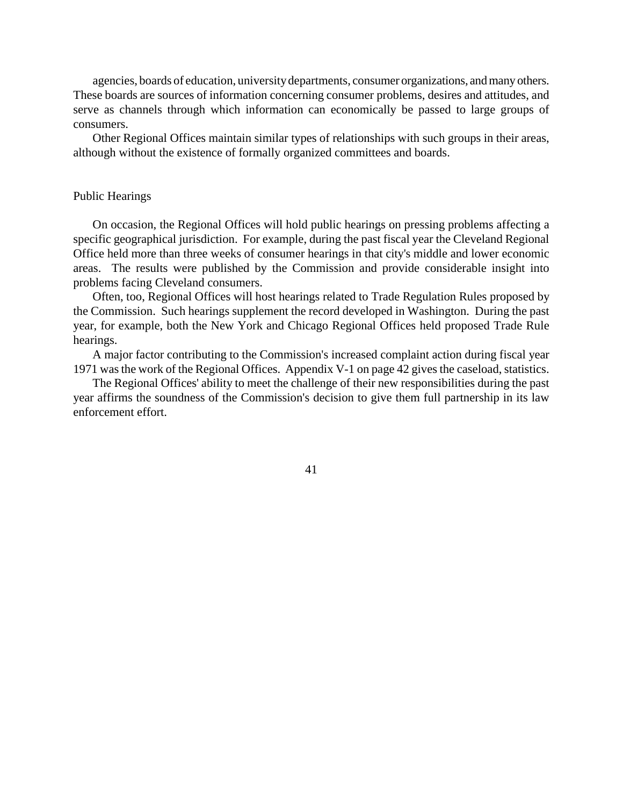agencies, boards of education, universitydepartments, consumer organizations, and many others. These boards are sources of information concerning consumer problems, desires and attitudes, and serve as channels through which information can economically be passed to large groups of consumers.

Other Regional Offices maintain similar types of relationships with such groups in their areas, although without the existence of formally organized committees and boards.

#### Public Hearings

On occasion, the Regional Offices will hold public hearings on pressing problems affecting a specific geographical jurisdiction. For example, during the past fiscal year the Cleveland Regional Office held more than three weeks of consumer hearings in that city's middle and lower economic areas. The results were published by the Commission and provide considerable insight into problems facing Cleveland consumers.

Often, too, Regional Offices will host hearings related to Trade Regulation Rules proposed by the Commission. Such hearings supplement the record developed in Washington. During the past year, for example, both the New York and Chicago Regional Offices held proposed Trade Rule hearings.

A major factor contributing to the Commission's increased complaint action during fiscal year 1971 wasthe work of the Regional Offices. Appendix V-1 on page 42 gives the caseload, statistics.

The Regional Offices' ability to meet the challenge of their new responsibilities during the past year affirms the soundness of the Commission's decision to give them full partnership in its law enforcement effort.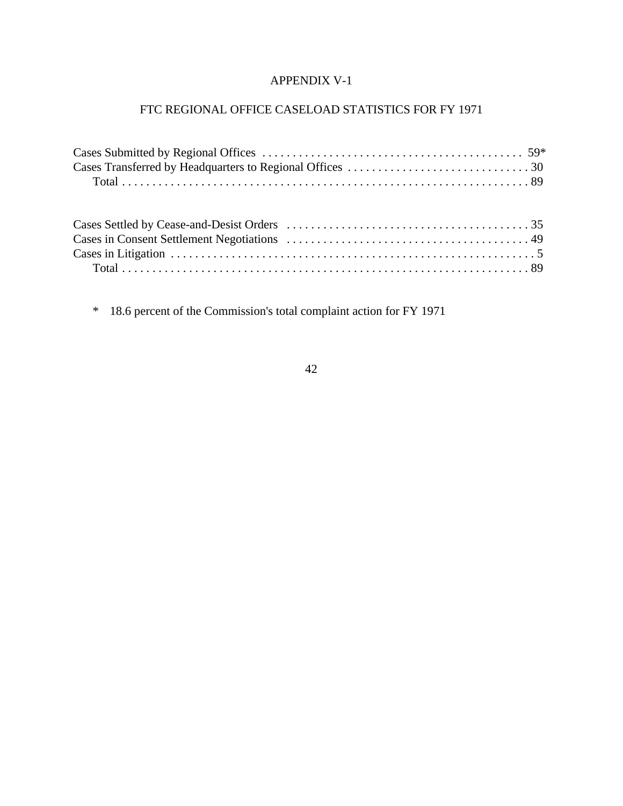# APPENDIX V-1

# FTC REGIONAL OFFICE CASELOAD STATISTICS FOR FY 1971

\* 18.6 percent of the Commission's total complaint action for FY 1971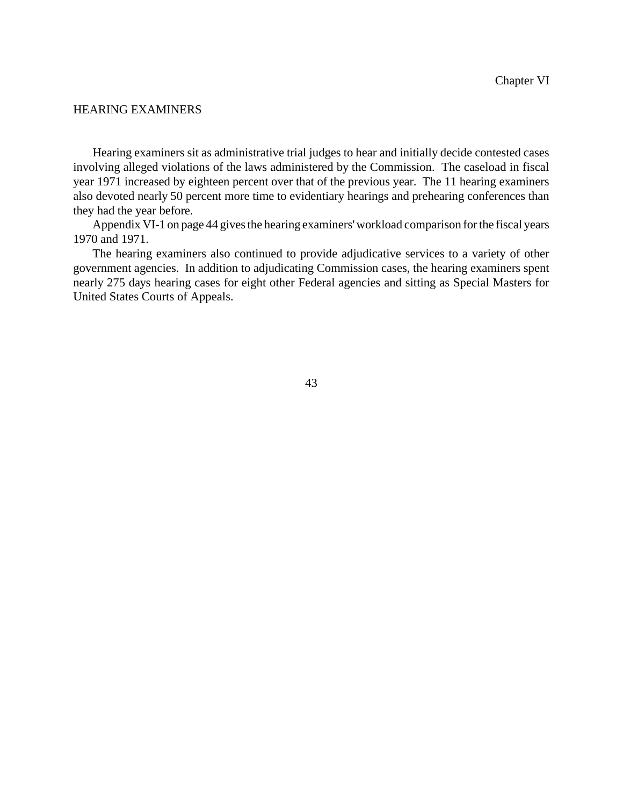# HEARING EXAMINERS

Hearing examiners sit as administrative trial judges to hear and initially decide contested cases involving alleged violations of the laws administered by the Commission. The caseload in fiscal year 1971 increased by eighteen percent over that of the previous year. The 11 hearing examiners also devoted nearly 50 percent more time to evidentiary hearings and prehearing conferences than they had the year before.

Appendix VI-1 on page 44 gives the hearing examiners' workload comparison for the fiscal years 1970 and 1971.

The hearing examiners also continued to provide adjudicative services to a variety of other government agencies. In addition to adjudicating Commission cases, the hearing examiners spent nearly 275 days hearing cases for eight other Federal agencies and sitting as Special Masters for United States Courts of Appeals.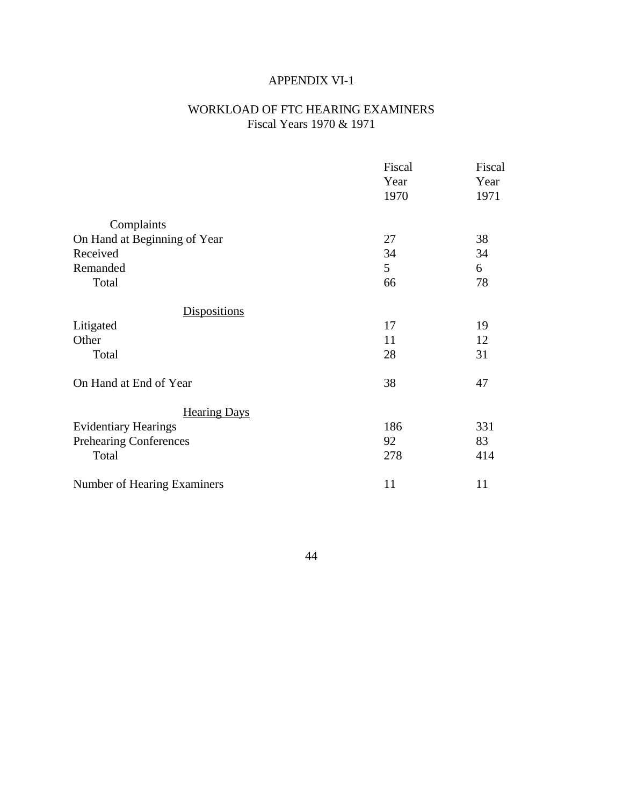# APPENDIX VI-1

# WORKLOAD OF FTC HEARING EXAMINERS Fiscal Years 1970 & 1971

|                              | Fiscal | Fiscal |
|------------------------------|--------|--------|
|                              | Year   | Year   |
|                              | 1970   | 1971   |
| Complaints                   |        |        |
| On Hand at Beginning of Year | 27     | 38     |
| Received                     | 34     | 34     |
| Remanded                     | 5      | 6      |
| Total                        | 66     | 78     |
| <b>Dispositions</b>          |        |        |
| Litigated                    | 17     | 19     |
| Other                        | 11     | 12     |
| Total                        | 28     | 31     |
| On Hand at End of Year       | 38     | 47     |
| <b>Hearing Days</b>          |        |        |
| <b>Evidentiary Hearings</b>  | 186    | 331    |
| Prehearing Conferences       | 92     | 83     |
| Total                        | 278    | 414    |
| Number of Hearing Examiners  | 11     | 11     |
|                              |        |        |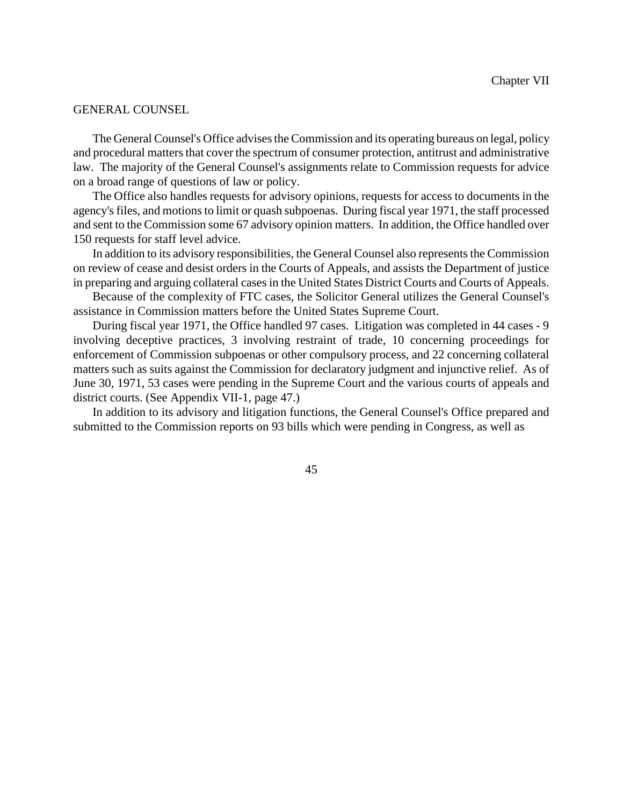#### GENERAL COUNSEL

The General Counsel's Office advises the Commission and its operating bureaus on legal, policy and procedural matters that cover the spectrum of consumer protection, antitrust and administrative law. The majority of the General Counsel's assignments relate to Commission requests for advice on a broad range of questions of law or policy.

The Office also handles requests for advisory opinions, requests for access to documents in the agency's files, and motions to limit or quash subpoenas. During fiscal year 1971, the staff processed and sent to the Commission some 67 advisory opinion matters. In addition, the Office handled over 150 requests for staff level advice.

In addition to its advisory responsibilities, the General Counsel also represents the Commission on review of cease and desist orders in the Courts of Appeals, and assists the Department of justice in preparing and arguing collateral cases in the United States District Courts and Courts of Appeals.

Because of the complexity of FTC cases, the Solicitor General utilizes the General Counsel's assistance in Commission matters before the United States Supreme Court.

During fiscal year 1971, the Office handled 97 cases. Litigation was completed in 44 cases - 9 involving deceptive practices, 3 involving restraint of trade, 10 concerning proceedings for enforcement of Commission subpoenas or other compulsory process, and 22 concerning collateral matters such as suits against the Commission for declaratory judgment and injunctive relief. As of June 30, 1971, 53 cases were pending in the Supreme Court and the various courts of appeals and district courts. (See Appendix VII-1, page 47.)

In addition to its advisory and litigation functions, the General Counsel's Office prepared and submitted to the Commission reports on 93 bills which were pending in Congress, as well as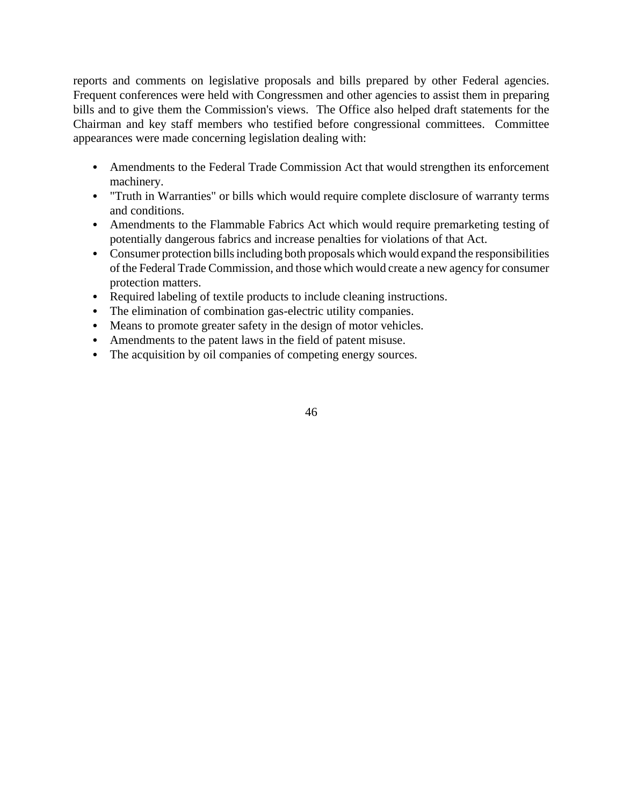reports and comments on legislative proposals and bills prepared by other Federal agencies. Frequent conferences were held with Congressmen and other agencies to assist them in preparing bills and to give them the Commission's views. The Office also helped draft statements for the Chairman and key staff members who testified before congressional committees. Committee appearances were made concerning legislation dealing with:

- Amendments to the Federal Trade Commission Act that would strengthen its enforcement machinery.
- "Truth in Warranties" or bills which would require complete disclosure of warranty terms and conditions.
- Amendments to the Flammable Fabrics Act which would require premarketing testing of potentially dangerous fabrics and increase penalties for violations of that Act.
- Consumer protection bills including both proposals which would expand the responsibilities of the Federal Trade Commission, and those which would create a new agency for consumer protection matters.
- Required labeling of textile products to include cleaning instructions.
- The elimination of combination gas-electric utility companies.
- Means to promote greater safety in the design of motor vehicles.
- Amendments to the patent laws in the field of patent misuse.
- The acquisition by oil companies of competing energy sources.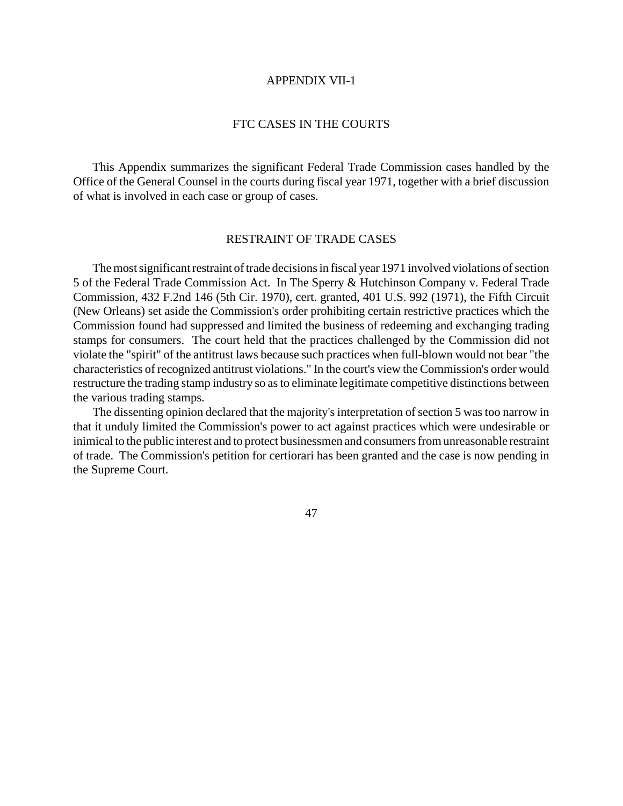#### APPENDIX VII-1

# FTC CASES IN THE COURTS

This Appendix summarizes the significant Federal Trade Commission cases handled by the Office of the General Counsel in the courts during fiscal year 1971, together with a brief discussion of what is involved in each case or group of cases.

#### RESTRAINT OF TRADE CASES

The most significant restraint of trade decisions in fiscal year 1971 involved violations of section 5 of the Federal Trade Commission Act. In The Sperry & Hutchinson Company v. Federal Trade Commission, 432 F.2nd 146 (5th Cir. 1970), cert. granted, 401 U.S. 992 (1971), the Fifth Circuit (New Orleans) set aside the Commission's order prohibiting certain restrictive practices which the Commission found had suppressed and limited the business of redeeming and exchanging trading stamps for consumers. The court held that the practices challenged by the Commission did not violate the "spirit" of the antitrust laws because such practices when full-blown would not bear "the characteristics of recognized antitrust violations." In the court's view the Commission's order would restructure the trading stamp industry so asto eliminate legitimate competitive distinctions between the various trading stamps.

The dissenting opinion declared that the majority's interpretation of section 5 was too narrow in that it unduly limited the Commission's power to act against practices which were undesirable or inimical to the public interest and to protect businessmen and consumers from unreasonable restraint of trade. The Commission's petition for certiorari has been granted and the case is now pending in the Supreme Court.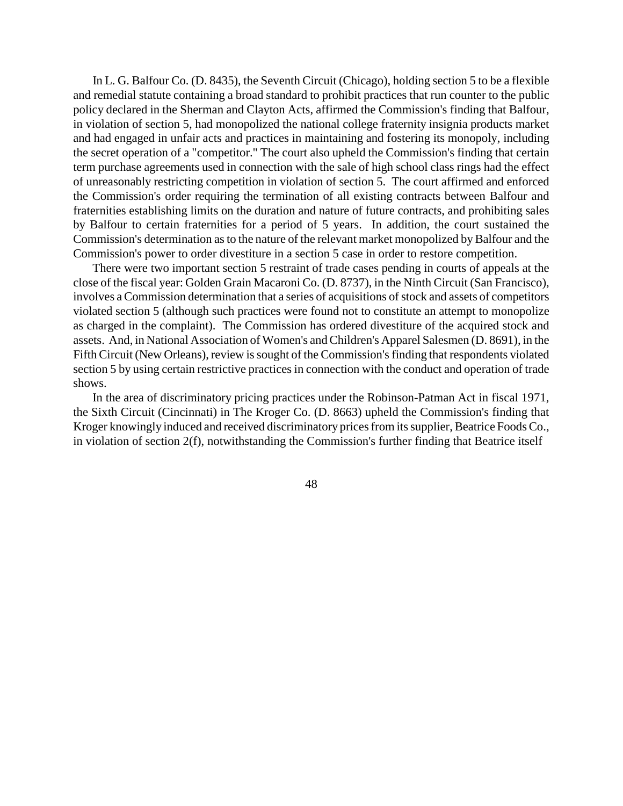In L. G. Balfour Co. (D. 8435), the Seventh Circuit (Chicago), holding section 5 to be a flexible and remedial statute containing a broad standard to prohibit practices that run counter to the public policy declared in the Sherman and Clayton Acts, affirmed the Commission's finding that Balfour, in violation of section 5, had monopolized the national college fraternity insignia products market and had engaged in unfair acts and practices in maintaining and fostering its monopoly, including the secret operation of a "competitor." The court also upheld the Commission's finding that certain term purchase agreements used in connection with the sale of high school class rings had the effect of unreasonably restricting competition in violation of section 5. The court affirmed and enforced the Commission's order requiring the termination of all existing contracts between Balfour and fraternities establishing limits on the duration and nature of future contracts, and prohibiting sales by Balfour to certain fraternities for a period of 5 years. In addition, the court sustained the Commission's determination as to the nature of the relevant market monopolized by Balfour and the Commission's power to order divestiture in a section 5 case in order to restore competition.

There were two important section 5 restraint of trade cases pending in courts of appeals at the close of the fiscal year: Golden Grain Macaroni Co. (D. 8737), in the Ninth Circuit (San Francisco), involves a Commission determination that a series of acquisitions of stock and assets of competitors violated section 5 (although such practices were found not to constitute an attempt to monopolize as charged in the complaint). The Commission has ordered divestiture of the acquired stock and assets. And, in National Association of Women's and Children's Apparel Salesmen (D. 8691), in the Fifth Circuit (New Orleans), review is sought of the Commission's finding that respondents violated section 5 by using certain restrictive practices in connection with the conduct and operation of trade shows.

In the area of discriminatory pricing practices under the Robinson-Patman Act in fiscal 1971, the Sixth Circuit (Cincinnati) in The Kroger Co. (D. 8663) upheld the Commission's finding that Kroger knowingly induced and received discriminatory prices from its supplier, Beatrice Foods Co., in violation of section 2(f), notwithstanding the Commission's further finding that Beatrice itself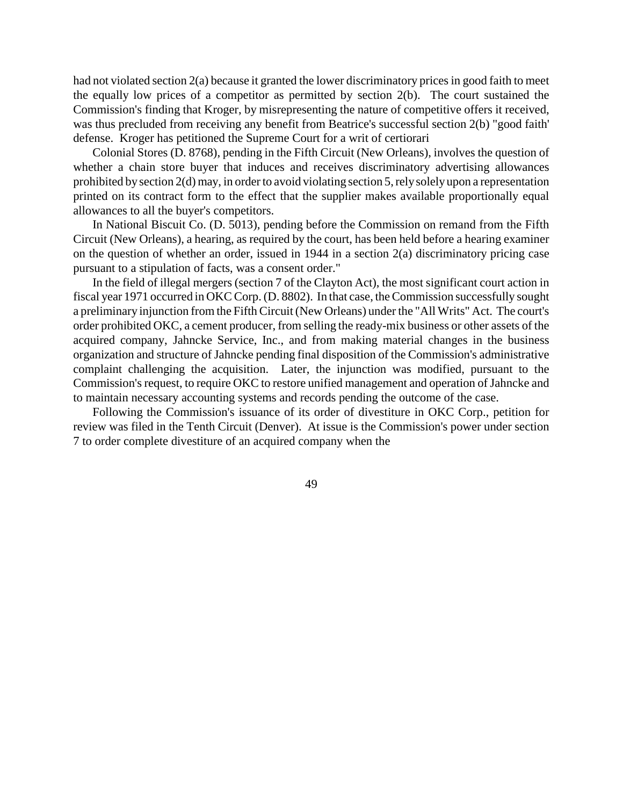had not violated section 2(a) because it granted the lower discriminatory pricesin good faith to meet the equally low prices of a competitor as permitted by section 2(b). The court sustained the Commission's finding that Kroger, by misrepresenting the nature of competitive offers it received, was thus precluded from receiving any benefit from Beatrice's successful section 2(b) "good faith' defense. Kroger has petitioned the Supreme Court for a writ of certiorari

Colonial Stores (D. 8768), pending in the Fifth Circuit (New Orleans), involves the question of whether a chain store buyer that induces and receives discriminatory advertising allowances prohibited by section 2(d) may, in order to avoid violating section 5, rely solely upon a representation printed on its contract form to the effect that the supplier makes available proportionally equal allowances to all the buyer's competitors.

In National Biscuit Co. (D. 5013), pending before the Commission on remand from the Fifth Circuit (New Orleans), a hearing, as required by the court, has been held before a hearing examiner on the question of whether an order, issued in 1944 in a section 2(a) discriminatory pricing case pursuant to a stipulation of facts, was a consent order."

In the field of illegal mergers (section 7 of the Clayton Act), the most significant court action in fiscal year 1971 occurred in OKC Corp. (D. 8802). In that case, the Commission successfully sought a preliminary injunction from the Fifth Circuit (New Orleans) under the "All Writs" Act. The court's order prohibited OKC, a cement producer, from selling the ready-mix business or other assets of the acquired company, Jahncke Service, Inc., and from making material changes in the business organization and structure of Jahncke pending final disposition of the Commission's administrative complaint challenging the acquisition. Later, the injunction was modified, pursuant to the Commission's request, to require OKC to restore unified management and operation of Jahncke and to maintain necessary accounting systems and records pending the outcome of the case.

Following the Commission's issuance of its order of divestiture in OKC Corp., petition for review was filed in the Tenth Circuit (Denver). At issue is the Commission's power under section 7 to order complete divestiture of an acquired company when the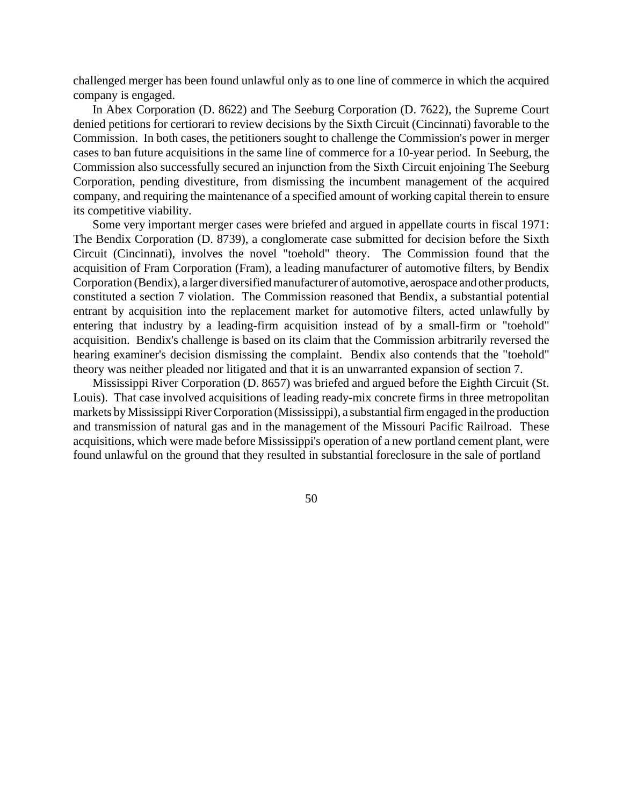challenged merger has been found unlawful only as to one line of commerce in which the acquired company is engaged.

In Abex Corporation (D. 8622) and The Seeburg Corporation (D. 7622), the Supreme Court denied petitions for certiorari to review decisions by the Sixth Circuit (Cincinnati) favorable to the Commission. In both cases, the petitioners sought to challenge the Commission's power in merger cases to ban future acquisitions in the same line of commerce for a 10-year period. In Seeburg, the Commission also successfully secured an injunction from the Sixth Circuit enjoining The Seeburg Corporation, pending divestiture, from dismissing the incumbent management of the acquired company, and requiring the maintenance of a specified amount of working capital therein to ensure its competitive viability.

Some very important merger cases were briefed and argued in appellate courts in fiscal 1971: The Bendix Corporation (D. 8739), a conglomerate case submitted for decision before the Sixth Circuit (Cincinnati), involves the novel "toehold" theory. The Commission found that the acquisition of Fram Corporation (Fram), a leading manufacturer of automotive filters, by Bendix Corporation (Bendix), a larger diversifiedmanufacturer of automotive, aerospace and other products, constituted a section 7 violation. The Commission reasoned that Bendix, a substantial potential entrant by acquisition into the replacement market for automotive filters, acted unlawfully by entering that industry by a leading-firm acquisition instead of by a small-firm or "toehold" acquisition. Bendix's challenge is based on its claim that the Commission arbitrarily reversed the hearing examiner's decision dismissing the complaint. Bendix also contends that the "toehold" theory was neither pleaded nor litigated and that it is an unwarranted expansion of section 7.

Mississippi River Corporation (D. 8657) was briefed and argued before the Eighth Circuit (St. Louis). That case involved acquisitions of leading ready-mix concrete firms in three metropolitan markets by Mississippi River Corporation (Mississippi), a substantial firm engaged in the production and transmission of natural gas and in the management of the Missouri Pacific Railroad. These acquisitions, which were made before Mississippi's operation of a new portland cement plant, were found unlawful on the ground that they resulted in substantial foreclosure in the sale of portland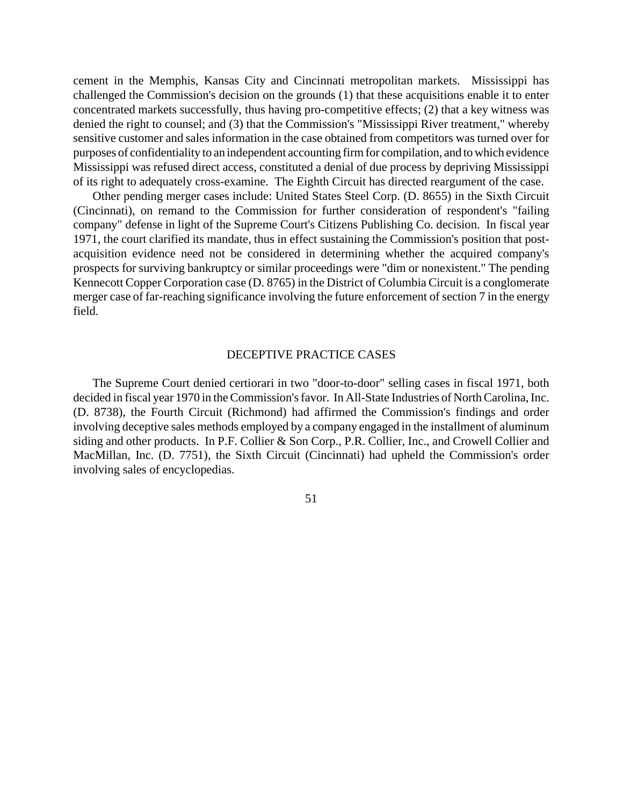cement in the Memphis, Kansas City and Cincinnati metropolitan markets. Mississippi has challenged the Commission's decision on the grounds (1) that these acquisitions enable it to enter concentrated markets successfully, thus having pro-competitive effects; (2) that a key witness was denied the right to counsel; and (3) that the Commission's "Mississippi River treatment," whereby sensitive customer and sales information in the case obtained from competitors was turned over for purposes of confidentiality to an independent accounting firm for compilation, and to which evidence Mississippi was refused direct access, constituted a denial of due process by depriving Mississippi of its right to adequately cross-examine. The Eighth Circuit has directed reargument of the case.

Other pending merger cases include: United States Steel Corp. (D. 8655) in the Sixth Circuit (Cincinnati), on remand to the Commission for further consideration of respondent's "failing company" defense in light of the Supreme Court's Citizens Publishing Co. decision. In fiscal year 1971, the court clarified its mandate, thus in effect sustaining the Commission's position that postacquisition evidence need not be considered in determining whether the acquired company's prospects for surviving bankruptcy or similar proceedings were "dim or nonexistent." The pending Kennecott Copper Corporation case (D. 8765) in the District of Columbia Circuit is a conglomerate merger case of far-reaching significance involving the future enforcement of section 7 in the energy field.

#### DECEPTIVE PRACTICE CASES

The Supreme Court denied certiorari in two "door-to-door" selling cases in fiscal 1971, both decided in fiscal year 1970 in the Commission's favor. In All-State Industries of North Carolina, Inc. (D. 8738), the Fourth Circuit (Richmond) had affirmed the Commission's findings and order involving deceptive sales methods employed by a company engaged in the installment of aluminum siding and other products. In P.F. Collier & Son Corp., P.R. Collier, Inc., and Crowell Collier and MacMillan, Inc. (D. 7751), the Sixth Circuit (Cincinnati) had upheld the Commission's order involving sales of encyclopedias.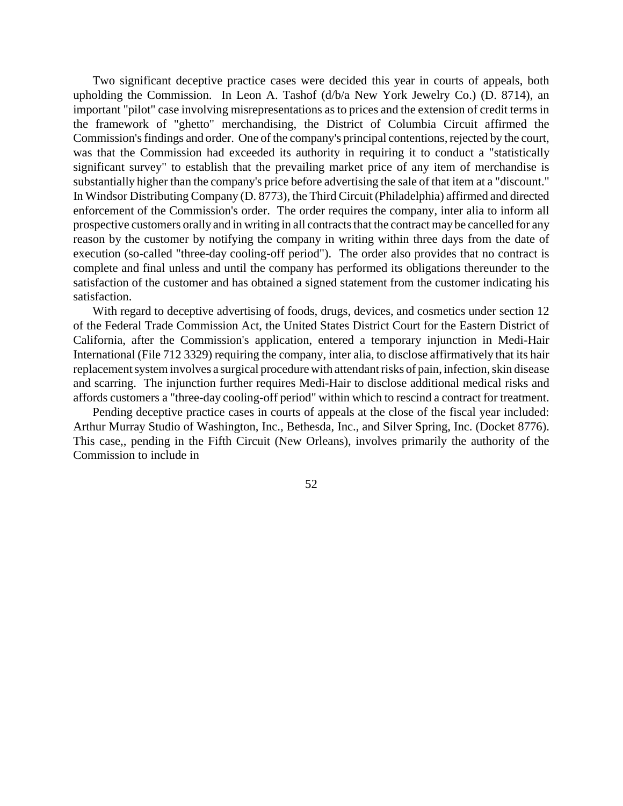Two significant deceptive practice cases were decided this year in courts of appeals, both upholding the Commission. In Leon A. Tashof (d/b/a New York Jewelry Co.) (D. 8714), an important "pilot" case involving misrepresentations as to prices and the extension of credit terms in the framework of "ghetto" merchandising, the District of Columbia Circuit affirmed the Commission's findings and order. One of the company's principal contentions, rejected by the court, was that the Commission had exceeded its authority in requiring it to conduct a "statistically significant survey" to establish that the prevailing market price of any item of merchandise is substantially higher than the company's price before advertising the sale of that item at a "discount." In Windsor Distributing Company (D. 8773), the Third Circuit (Philadelphia) affirmed and directed enforcement of the Commission's order. The order requires the company, inter alia to inform all prospective customers orally and in writing in all contracts that the contract may be cancelled for any reason by the customer by notifying the company in writing within three days from the date of execution (so-called "three-day cooling-off period"). The order also provides that no contract is complete and final unless and until the company has performed its obligations thereunder to the satisfaction of the customer and has obtained a signed statement from the customer indicating his satisfaction.

With regard to deceptive advertising of foods, drugs, devices, and cosmetics under section 12 of the Federal Trade Commission Act, the United States District Court for the Eastern District of California, after the Commission's application, entered a temporary injunction in Medi-Hair International (File 712 3329) requiring the company, inter alia, to disclose affirmatively that its hair replacement system involves a surgical procedure with attendant risks of pain, infection, skin disease and scarring. The injunction further requires Medi-Hair to disclose additional medical risks and affords customers a "three-day cooling-off period" within which to rescind a contract for treatment.

Pending deceptive practice cases in courts of appeals at the close of the fiscal year included: Arthur Murray Studio of Washington, Inc., Bethesda, Inc., and Silver Spring, Inc. (Docket 8776). This case,, pending in the Fifth Circuit (New Orleans), involves primarily the authority of the Commission to include in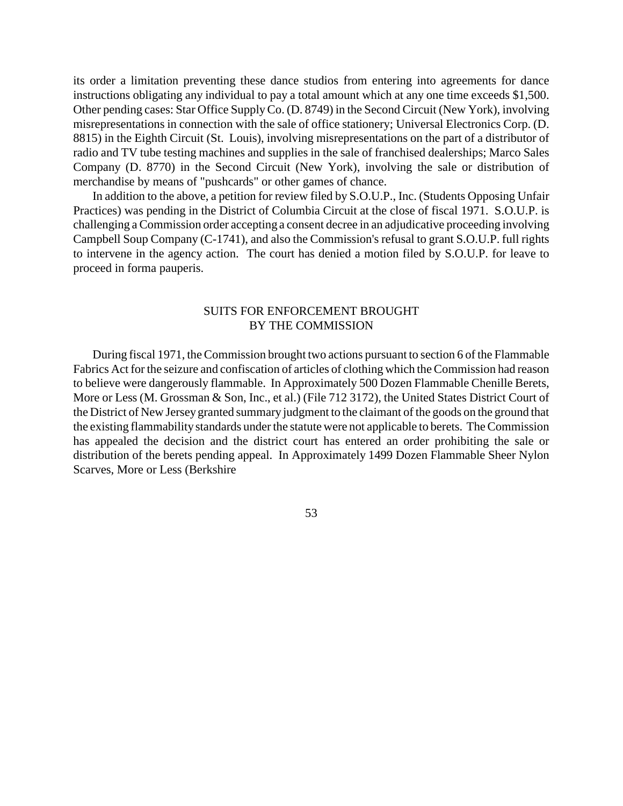its order a limitation preventing these dance studios from entering into agreements for dance instructions obligating any individual to pay a total amount which at any one time exceeds \$1,500. Other pending cases: Star Office SupplyCo. (D. 8749) in the Second Circuit (New York), involving misrepresentations in connection with the sale of office stationery; Universal Electronics Corp. (D. 8815) in the Eighth Circuit (St. Louis), involving misrepresentations on the part of a distributor of radio and TV tube testing machines and supplies in the sale of franchised dealerships; Marco Sales Company (D. 8770) in the Second Circuit (New York), involving the sale or distribution of merchandise by means of "pushcards" or other games of chance.

In addition to the above, a petition for review filed by S.O.U.P., Inc. (Students Opposing Unfair Practices) was pending in the District of Columbia Circuit at the close of fiscal 1971. S.O.U.P. is challenging aCommission order accepting a consent decree in an adjudicative proceeding involving Campbell Soup Company (C-1741), and also the Commission's refusal to grant S.O.U.P. full rights to intervene in the agency action. The court has denied a motion filed by S.O.U.P. for leave to proceed in forma pauperis.

# SUITS FOR ENFORCEMENT BROUGHT BY THE COMMISSION

During fiscal 1971, the Commission brought two actions pursuant to section 6 of the Flammable Fabrics Act for the seizure and confiscation of articles of clothing which the Commission had reason to believe were dangerously flammable. In Approximately 500 Dozen Flammable Chenille Berets, More or Less (M. Grossman & Son, Inc., et al.) (File 712 3172), the United States District Court of the District of New Jersey granted summary judgment to the claimant of the goods on the ground that the existing flammability standards under the statute were not applicable to berets. The Commission has appealed the decision and the district court has entered an order prohibiting the sale or distribution of the berets pending appeal. In Approximately 1499 Dozen Flammable Sheer Nylon Scarves, More or Less (Berkshire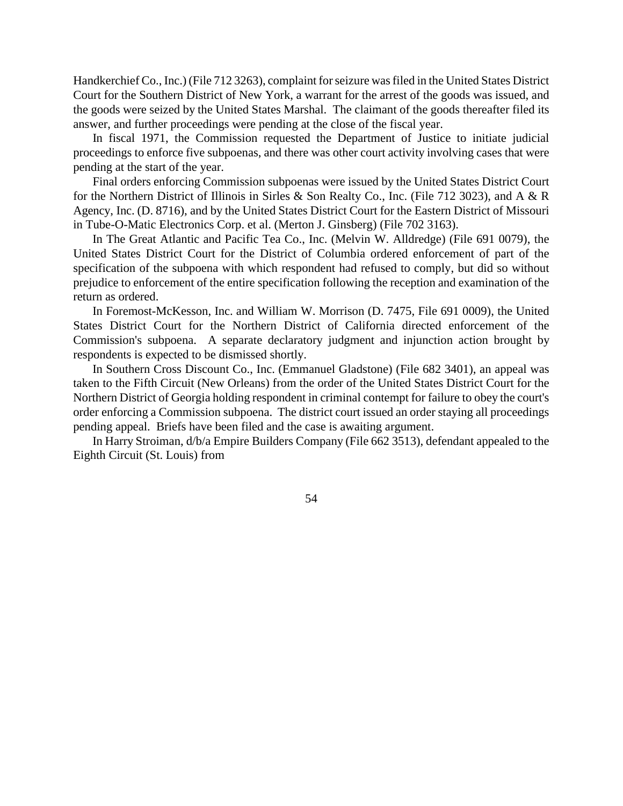Handkerchief Co., Inc.) (File 712 3263), complaint forseizure wasfiled in the United States District Court for the Southern District of New York, a warrant for the arrest of the goods was issued, and the goods were seized by the United States Marshal. The claimant of the goods thereafter filed its answer, and further proceedings were pending at the close of the fiscal year.

In fiscal 1971, the Commission requested the Department of Justice to initiate judicial proceedings to enforce five subpoenas, and there was other court activity involving cases that were pending at the start of the year.

Final orders enforcing Commission subpoenas were issued by the United States District Court for the Northern District of Illinois in Sirles & Son Realty Co., Inc. (File 712 3023), and A & R Agency, Inc. (D. 8716), and by the United States District Court for the Eastern District of Missouri in Tube-O-Matic Electronics Corp. et al. (Merton J. Ginsberg) (File 702 3163).

In The Great Atlantic and Pacific Tea Co., Inc. (Melvin W. Alldredge) (File 691 0079), the United States District Court for the District of Columbia ordered enforcement of part of the specification of the subpoena with which respondent had refused to comply, but did so without prejudice to enforcement of the entire specification following the reception and examination of the return as ordered.

In Foremost-McKesson, Inc. and William W. Morrison (D. 7475, File 691 0009), the United States District Court for the Northern District of California directed enforcement of the Commission's subpoena. A separate declaratory judgment and injunction action brought by respondents is expected to be dismissed shortly.

In Southern Cross Discount Co., Inc. (Emmanuel Gladstone) (File 682 3401), an appeal was taken to the Fifth Circuit (New Orleans) from the order of the United States District Court for the Northern District of Georgia holding respondent in criminal contempt for failure to obey the court's order enforcing a Commission subpoena. The district court issued an order staying all proceedings pending appeal. Briefs have been filed and the case is awaiting argument.

In Harry Stroiman, d/b/a Empire Builders Company (File 662 3513), defendant appealed to the Eighth Circuit (St. Louis) from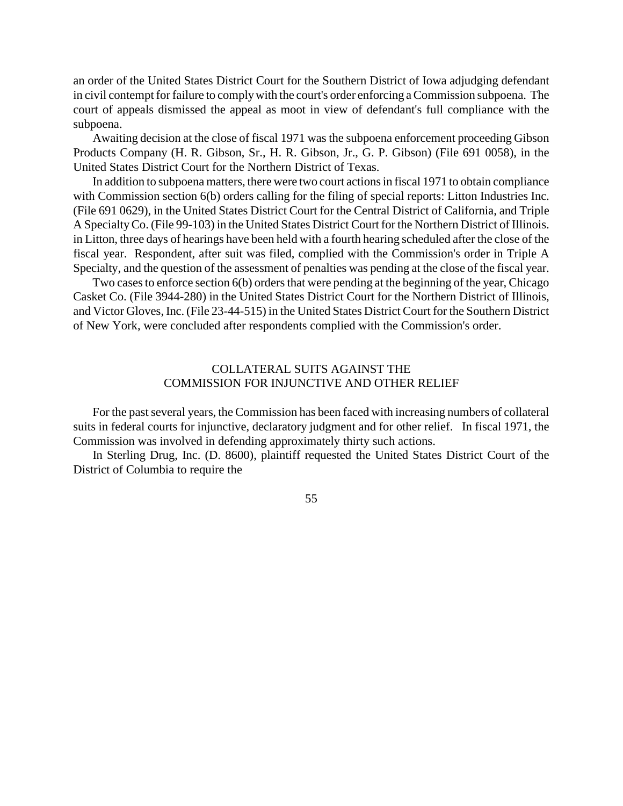an order of the United States District Court for the Southern District of Iowa adjudging defendant in civil contempt for failure to comply with the court's order enforcing a Commission subpoena. The court of appeals dismissed the appeal as moot in view of defendant's full compliance with the subpoena.

Awaiting decision at the close of fiscal 1971 was the subpoena enforcement proceeding Gibson Products Company (H. R. Gibson, Sr., H. R. Gibson, Jr., G. P. Gibson) (File 691 0058), in the United States District Court for the Northern District of Texas.

In addition to subpoena matters, there were two court actionsin fiscal 1971 to obtain compliance with Commission section 6(b) orders calling for the filing of special reports: Litton Industries Inc. (File 691 0629), in the United States District Court for the Central District of California, and Triple A SpecialtyCo. (File 99-103) in the United States District Court for the Northern District of Illinois. in Litton, three days of hearings have been held with a fourth hearing scheduled after the close of the fiscal year. Respondent, after suit was filed, complied with the Commission's order in Triple A Specialty, and the question of the assessment of penalties was pending at the close of the fiscal year.

Two cases to enforce section 6(b) orders that were pending at the beginning of the year, Chicago Casket Co. (File 3944-280) in the United States District Court for the Northern District of Illinois, and Victor Gloves, Inc.(File 23-44-515) in the United States District Court for the Southern District of New York, were concluded after respondents complied with the Commission's order.

# COLLATERAL SUITS AGAINST THE COMMISSION FOR INJUNCTIVE AND OTHER RELIEF

For the past several years, the Commission has been faced with increasing numbers of collateral suits in federal courts for injunctive, declaratory judgment and for other relief. In fiscal 1971, the Commission was involved in defending approximately thirty such actions.

In Sterling Drug, Inc. (D. 8600), plaintiff requested the United States District Court of the District of Columbia to require the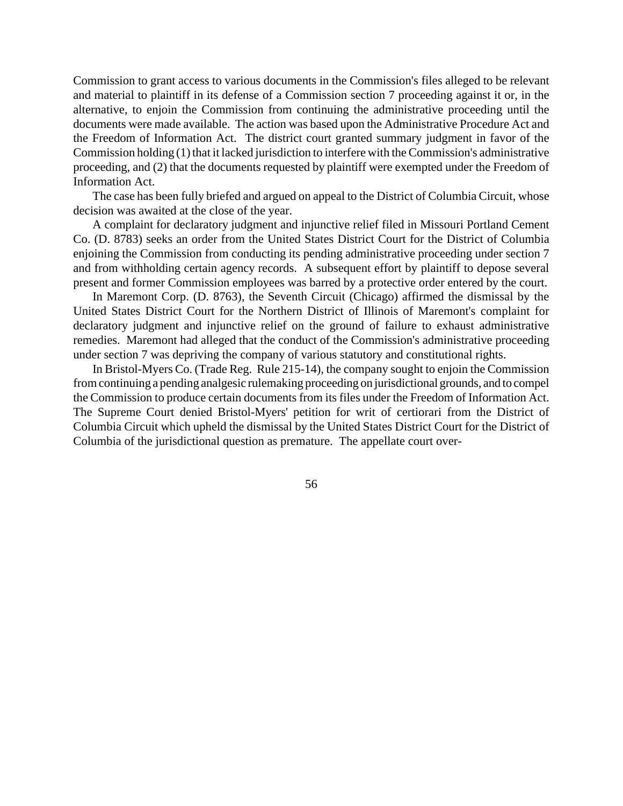Commission to grant access to various documents in the Commission's files alleged to be relevant and material to plaintiff in its defense of a Commission section 7 proceeding against it or, in the alternative, to enjoin the Commission from continuing the administrative proceeding until the documents were made available. The action was based upon the Administrative Procedure Act and the Freedom of Information Act. The district court granted summary judgment in favor of the Commission holding  $(1)$  that it lacked jurisdiction to interfere with the Commission's administrative proceeding, and (2) that the documents requested by plaintiff were exempted under the Freedom of Information Act.

The case has been fully briefed and argued on appeal to the District of Columbia Circuit, whose decision was awaited at the close of the year.

A complaint for declaratory judgment and injunctive relief filed in Missouri Portland Cement Co. (D. 8783) seeks an order from the United States District Court for the District of Columbia enjoining the Commission from conducting its pending administrative proceeding under section 7 and from withholding certain agency records. A subsequent effort by plaintiff to depose several present and former Commission employees was barred by a protective order entered by the court.

In Maremont Corp. (D. 8763), the Seventh Circuit (Chicago) affirmed the dismissal by the United States District Court for the Northern District of Illinois of Maremont's complaint for declaratory judgment and injunctive relief on the ground of failure to exhaust administrative remedies. Maremont had alleged that the conduct of the Commission's administrative proceeding under section 7 was depriving the company of various statutory and constitutional rights.

In Bristol-Myers Co. (Trade Reg. Rule 215-14), the company sought to enjoin the Commission fromcontinuing a pending analgesic rulemaking proceeding on jurisdictional grounds, and to compel the Commission to produce certain documents from its files under the Freedom of Information Act. The Supreme Court denied Bristol-Myers' petition for writ of certiorari from the District of Columbia Circuit which upheld the dismissal by the United States District Court for the District of Columbia of the jurisdictional question as premature. The appellate court over-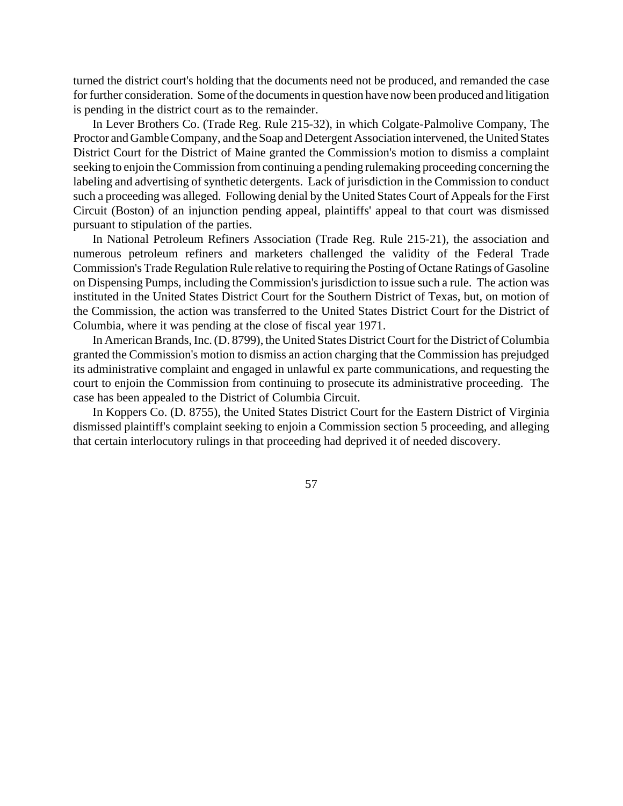turned the district court's holding that the documents need not be produced, and remanded the case for further consideration. Some of the documents in question have now been produced and litigation is pending in the district court as to the remainder.

In Lever Brothers Co. (Trade Reg. Rule 215-32), in which Colgate-Palmolive Company, The Proctor and Gamble Company, and the Soap and Detergent Association intervened, the United States District Court for the District of Maine granted the Commission's motion to dismiss a complaint seeking to enjoin the Commission from continuing a pending rulemaking proceeding concerning the labeling and advertising of synthetic detergents. Lack of jurisdiction in the Commission to conduct such a proceeding was alleged. Following denial by the United States Court of Appeals for the First Circuit (Boston) of an injunction pending appeal, plaintiffs' appeal to that court was dismissed pursuant to stipulation of the parties.

In National Petroleum Refiners Association (Trade Reg. Rule 215-21), the association and numerous petroleum refiners and marketers challenged the validity of the Federal Trade Commission's Trade Regulation Rule relative to requiring the Posting of Octane Ratings of Gasoline on Dispensing Pumps, including the Commission's jurisdiction to issue such a rule. The action was instituted in the United States District Court for the Southern District of Texas, but, on motion of the Commission, the action was transferred to the United States District Court for the District of Columbia, where it was pending at the close of fiscal year 1971.

In American Brands, Inc. (D. 8799), the United States District Court for the District of Columbia granted the Commission's motion to dismiss an action charging that the Commission has prejudged its administrative complaint and engaged in unlawful ex parte communications, and requesting the court to enjoin the Commission from continuing to prosecute its administrative proceeding. The case has been appealed to the District of Columbia Circuit.

In Koppers Co. (D. 8755), the United States District Court for the Eastern District of Virginia dismissed plaintiff's complaint seeking to enjoin a Commission section 5 proceeding, and alleging that certain interlocutory rulings in that proceeding had deprived it of needed discovery.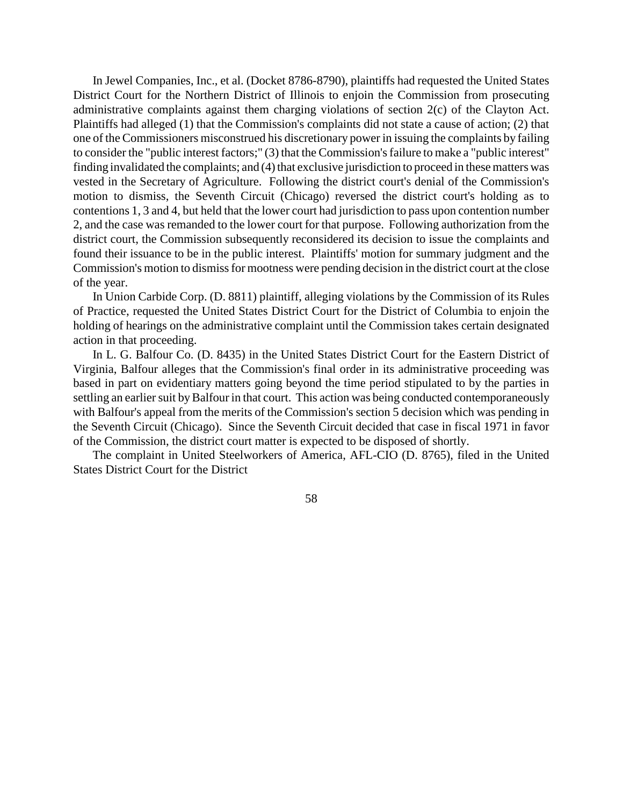In Jewel Companies, Inc., et al. (Docket 8786-8790), plaintiffs had requested the United States District Court for the Northern District of Illinois to enjoin the Commission from prosecuting administrative complaints against them charging violations of section 2(c) of the Clayton Act. Plaintiffs had alleged (1) that the Commission's complaints did not state a cause of action; (2) that one of the Commissioners misconstrued his discretionary power in issuing the complaints by failing to consider the "public interest factors;" (3) that the Commission'sfailure to make a "public interest" finding invalidated the complaints; and (4) that exclusive jurisdiction to proceed in these matters was vested in the Secretary of Agriculture. Following the district court's denial of the Commission's motion to dismiss, the Seventh Circuit (Chicago) reversed the district court's holding as to contentions 1, 3 and 4, but held that the lower court had jurisdiction to pass upon contention number 2, and the case was remanded to the lower court for that purpose. Following authorization from the district court, the Commission subsequently reconsidered its decision to issue the complaints and found their issuance to be in the public interest. Plaintiffs' motion for summary judgment and the Commission's motion to dismissfor mootness were pending decision in the district court at the close of the year.

In Union Carbide Corp. (D. 8811) plaintiff, alleging violations by the Commission of its Rules of Practice, requested the United States District Court for the District of Columbia to enjoin the holding of hearings on the administrative complaint until the Commission takes certain designated action in that proceeding.

In L. G. Balfour Co. (D. 8435) in the United States District Court for the Eastern District of Virginia, Balfour alleges that the Commission's final order in its administrative proceeding was based in part on evidentiary matters going beyond the time period stipulated to by the parties in settling an earlier suit by Balfour in that court. This action was being conducted contemporaneously with Balfour's appeal from the merits of the Commission's section 5 decision which was pending in the Seventh Circuit (Chicago). Since the Seventh Circuit decided that case in fiscal 1971 in favor of the Commission, the district court matter is expected to be disposed of shortly.

The complaint in United Steelworkers of America, AFL-CIO (D. 8765), filed in the United States District Court for the District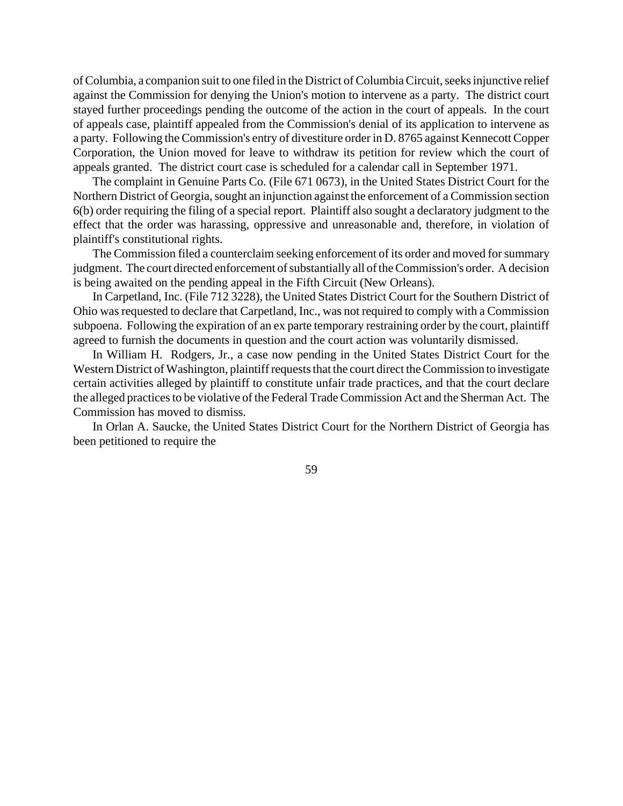of Columbia, a companion suit to one filed in the District of Columbia Circuit, seeks injunctive relief against the Commission for denying the Union's motion to intervene as a party. The district court stayed further proceedings pending the outcome of the action in the court of appeals. In the court of appeals case, plaintiff appealed from the Commission's denial of its application to intervene as a party. Following the Commission's entry of divestiture order in D. 8765 against Kennecott Copper Corporation, the Union moved for leave to withdraw its petition for review which the court of appeals granted. The district court case is scheduled for a calendar call in September 1971.

The complaint in Genuine Parts Co. (File 671 0673), in the United States District Court for the Northern District of Georgia, sought an injunction against the enforcement of a Commission section 6(b) order requiring the filing of a special report. Plaintiff also sought a declaratory judgment to the effect that the order was harassing, oppressive and unreasonable and, therefore, in violation of plaintiff's constitutional rights.

The Commission filed a counterclaim seeking enforcement of its order and moved forsummary judgment. The court directed enforcement of substantially all of the Commission's order. A decision is being awaited on the pending appeal in the Fifth Circuit (New Orleans).

In Carpetland, Inc. (File 712 3228), the United States District Court for the Southern District of Ohio was requested to declare that Carpetland, Inc., was not required to comply with a Commission subpoena. Following the expiration of an ex parte temporary restraining order by the court, plaintiff agreed to furnish the documents in question and the court action was voluntarily dismissed.

In William H. Rodgers, Jr., a case now pending in the United States District Court for the Western District of Washington, plaintiff requests that the court direct the Commission to investigate certain activities alleged by plaintiff to constitute unfair trade practices, and that the court declare the alleged practices to be violative of the Federal Trade Commission Act and the Sherman Act. The Commission has moved to dismiss.

In Orlan A. Saucke, the United States District Court for the Northern District of Georgia has been petitioned to require the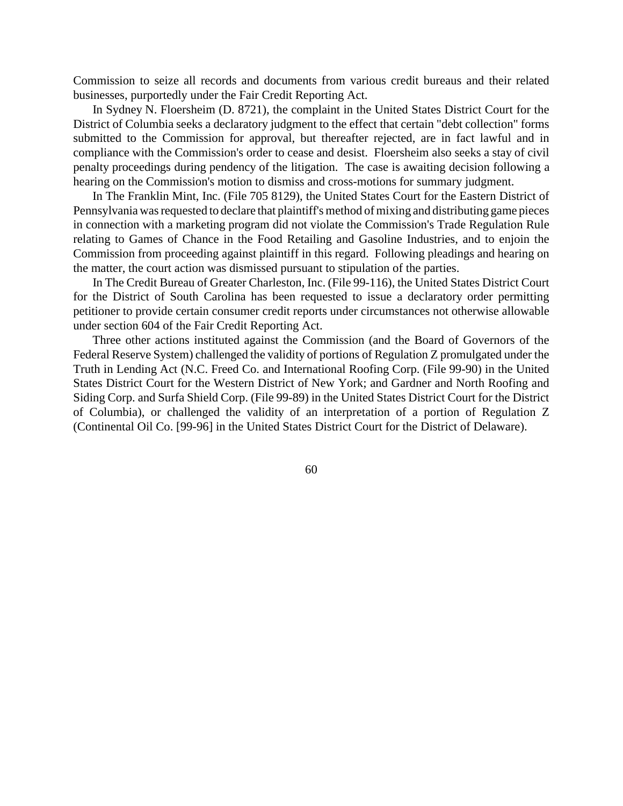Commission to seize all records and documents from various credit bureaus and their related businesses, purportedly under the Fair Credit Reporting Act.

In Sydney N. Floersheim (D. 8721), the complaint in the United States District Court for the District of Columbia seeks a declaratory judgment to the effect that certain "debt collection" forms submitted to the Commission for approval, but thereafter rejected, are in fact lawful and in compliance with the Commission's order to cease and desist. Floersheim also seeks a stay of civil penalty proceedings during pendency of the litigation. The case is awaiting decision following a hearing on the Commission's motion to dismiss and cross-motions for summary judgment.

In The Franklin Mint, Inc. (File 705 8129), the United States Court for the Eastern District of Pennsylvania wasrequested to declare that plaintiff's method of mixing and distributing game pieces in connection with a marketing program did not violate the Commission's Trade Regulation Rule relating to Games of Chance in the Food Retailing and Gasoline Industries, and to enjoin the Commission from proceeding against plaintiff in this regard. Following pleadings and hearing on the matter, the court action was dismissed pursuant to stipulation of the parties.

In The Credit Bureau of Greater Charleston, Inc. (File 99-116), the United States District Court for the District of South Carolina has been requested to issue a declaratory order permitting petitioner to provide certain consumer credit reports under circumstances not otherwise allowable under section 604 of the Fair Credit Reporting Act.

Three other actions instituted against the Commission (and the Board of Governors of the Federal Reserve System) challenged the validity of portions of Regulation Z promulgated under the Truth in Lending Act (N.C. Freed Co. and International Roofing Corp. (File 99-90) in the United States District Court for the Western District of New York; and Gardner and North Roofing and Siding Corp. and Surfa Shield Corp. (File 99-89) in the United States District Court for the District of Columbia), or challenged the validity of an interpretation of a portion of Regulation Z (Continental Oil Co. [99-96] in the United States District Court for the District of Delaware).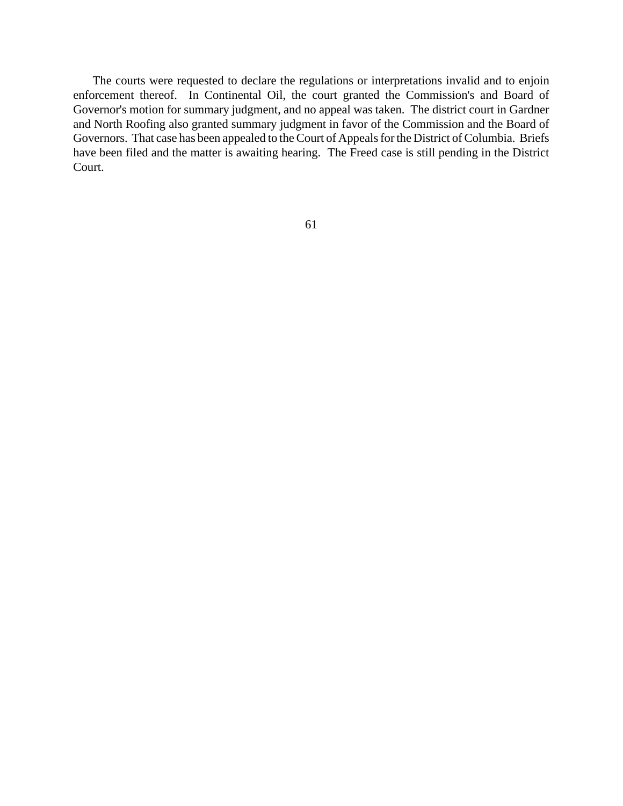The courts were requested to declare the regulations or interpretations invalid and to enjoin enforcement thereof. In Continental Oil, the court granted the Commission's and Board of Governor's motion for summary judgment, and no appeal was taken. The district court in Gardner and North Roofing also granted summary judgment in favor of the Commission and the Board of Governors. That case has been appealed to the Court of Appeals for the District of Columbia. Briefs have been filed and the matter is awaiting hearing. The Freed case is still pending in the District Court.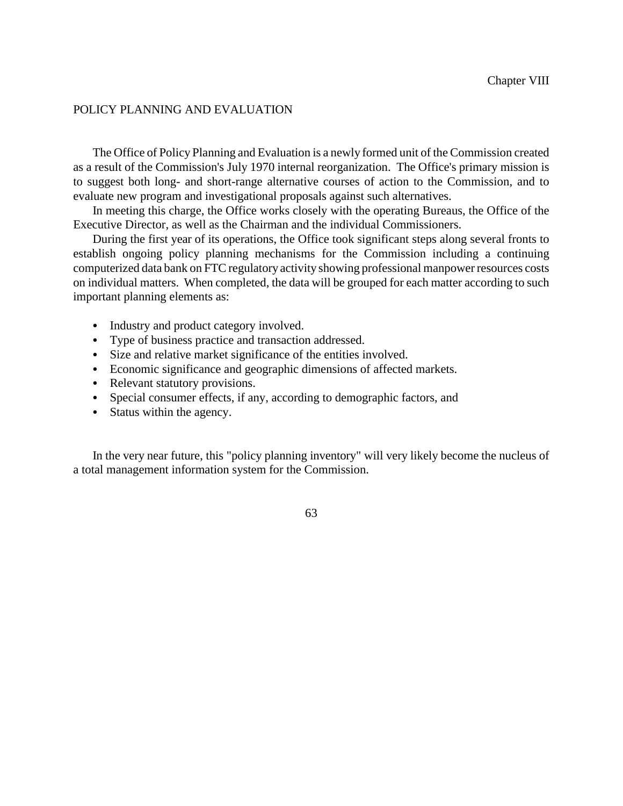# POLICY PLANNING AND EVALUATION

The Office of Policy Planning and Evaluation is a newly formed unit of the Commission created as a result of the Commission's July 1970 internal reorganization. The Office's primary mission is to suggest both long- and short-range alternative courses of action to the Commission, and to evaluate new program and investigational proposals against such alternatives.

In meeting this charge, the Office works closely with the operating Bureaus, the Office of the Executive Director, as well as the Chairman and the individual Commissioners.

During the first year of its operations, the Office took significant steps along several fronts to establish ongoing policy planning mechanisms for the Commission including a continuing computerized data bank on FTC regulatory activity showing professional manpower resources costs on individual matters. When completed, the data will be grouped for each matter according to such important planning elements as:

- Industry and product category involved.
- Type of business practice and transaction addressed.
- Size and relative market significance of the entities involved.
- Economic significance and geographic dimensions of affected markets.
- Relevant statutory provisions.
- Special consumer effects, if any, according to demographic factors, and
- Status within the agency.

In the very near future, this "policy planning inventory" will very likely become the nucleus of a total management information system for the Commission.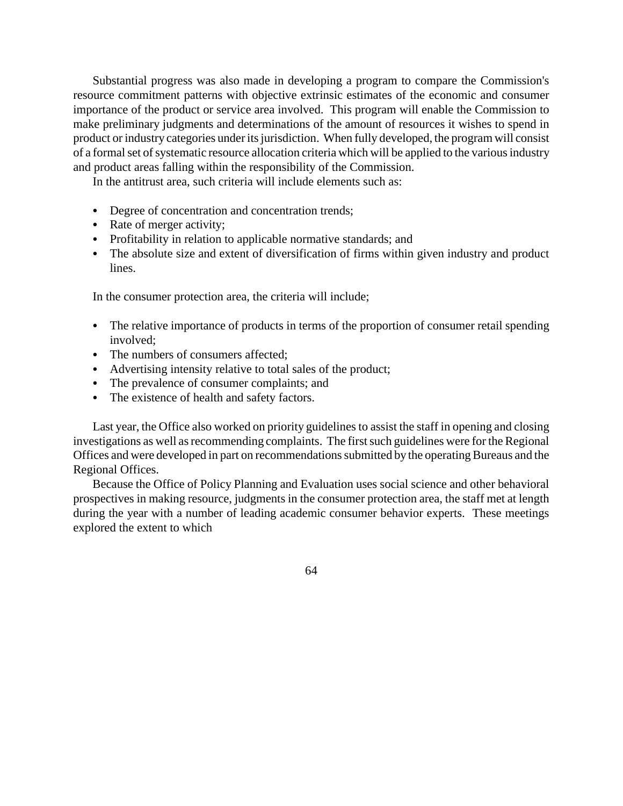Substantial progress was also made in developing a program to compare the Commission's resource commitment patterns with objective extrinsic estimates of the economic and consumer importance of the product or service area involved. This program will enable the Commission to make preliminary judgments and determinations of the amount of resources it wishes to spend in product or industry categories under its jurisdiction. When fully developed, the program will consist of a formal set of systematic resource allocation criteria which will be applied to the various industry and product areas falling within the responsibility of the Commission.

In the antitrust area, such criteria will include elements such as:

- Degree of concentration and concentration trends;
- Rate of merger activity;
- Profitability in relation to applicable normative standards; and
- The absolute size and extent of diversification of firms within given industry and product lines.

In the consumer protection area, the criteria will include;

- The relative importance of products in terms of the proportion of consumer retail spending involved;
- The numbers of consumers affected;
- Advertising intensity relative to total sales of the product;
- The prevalence of consumer complaints; and
- The existence of health and safety factors.

Last year, the Office also worked on priority guidelines to assist the staff in opening and closing investigations as well as recommending complaints. The first such guidelines were for the Regional Offices and were developed in part on recommendations submitted by the operating Bureaus and the Regional Offices.

Because the Office of Policy Planning and Evaluation uses social science and other behavioral prospectives in making resource, judgments in the consumer protection area, the staff met at length during the year with a number of leading academic consumer behavior experts. These meetings explored the extent to which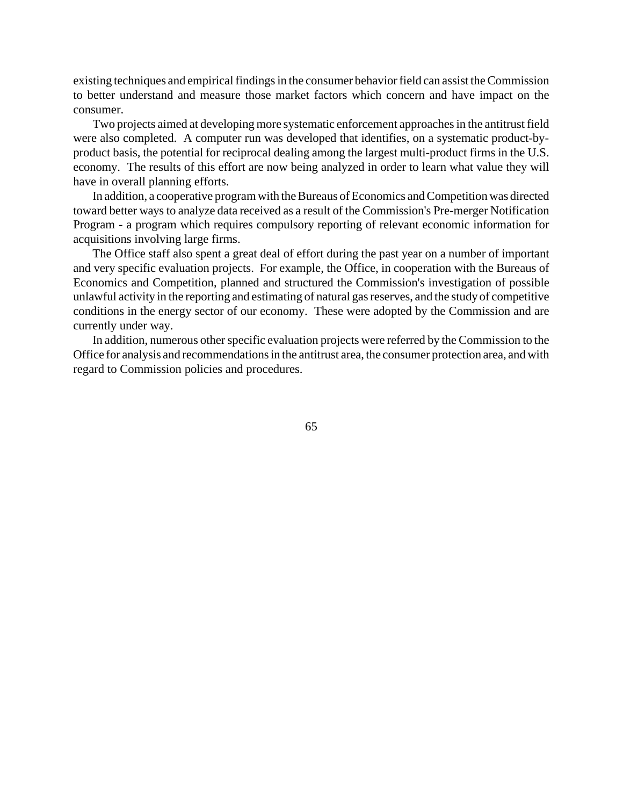existing techniques and empirical findings in the consumer behavior field can assist the Commission to better understand and measure those market factors which concern and have impact on the consumer.

Two projects aimed at developing more systematic enforcement approaches in the antitrust field were also completed. A computer run was developed that identifies, on a systematic product-byproduct basis, the potential for reciprocal dealing among the largest multi-product firms in the U.S. economy. The results of this effort are now being analyzed in order to learn what value they will have in overall planning efforts.

In addition, a cooperative program with the Bureaus of Economics and Competition was directed toward better ways to analyze data received as a result of the Commission's Pre-merger Notification Program - a program which requires compulsory reporting of relevant economic information for acquisitions involving large firms.

The Office staff also spent a great deal of effort during the past year on a number of important and very specific evaluation projects. For example, the Office, in cooperation with the Bureaus of Economics and Competition, planned and structured the Commission's investigation of possible unlawful activity in the reporting and estimating of natural gasreserves, and the study of competitive conditions in the energy sector of our economy. These were adopted by the Commission and are currently under way.

In addition, numerous other specific evaluation projects were referred by the Commission to the Office for analysis and recommendations in the antitrust area, the consumer protection area, and with regard to Commission policies and procedures.